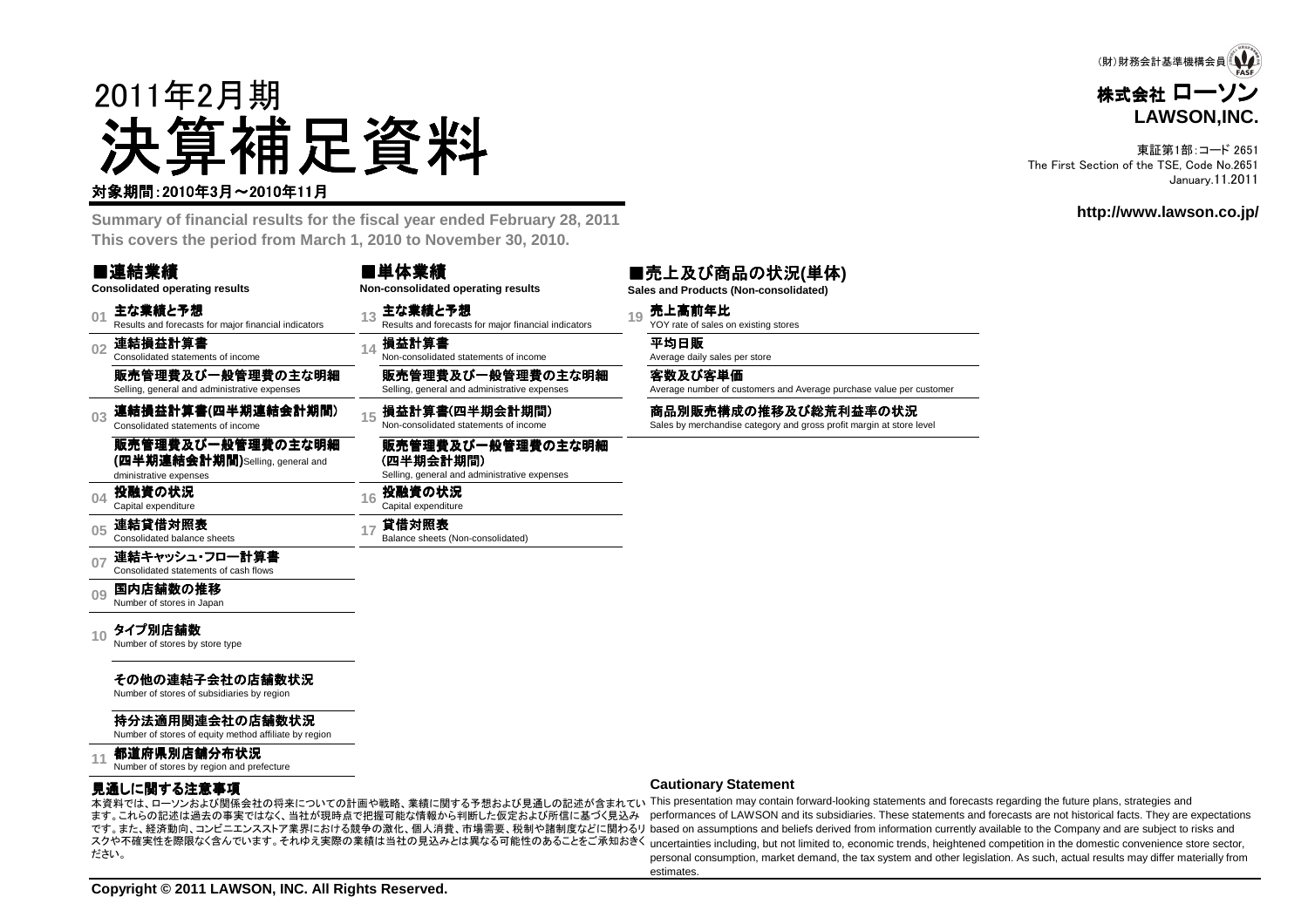

東証第1部:コード 2651 The First Section of the TSE, Code No.2651January.11.2011

**http://www.lawson.co.jp/**

# 2011年2月期決算補足資料

#### 対象期間:2010年3月~2010年11月

 **Summary of financial results for the fiscal year ended February 28, 2011This covers the period from March 1, 2010 to November 30, 2010.**

#### ■連結業績

#### ■単体業績**Non-consolidated operating results**

販売管理費及び一般管理費の主な明細 Selling, general and administrative expenses

販売管理費及び一般管理費の主な明細

Selling, general and administrative expenses

**(四半期会計期間)**<br>Selling, general and adm

**貸借対照表**<br>Balance sheets (Non-consolidated)

**<sup>16</sup>** 投融資の状況 Capital expenditure

**Consolidated operating results**

- $0<sup>1</sup>$ 主な業績と予想<br>Results and forecasts for major financial indicators
- **02**連結損益計算書 Consolidated statements of income

販売管理費及び一般管理費の主な明細Selling, general and administrative expenses

- **03** 連結損益計算書**(**四半期連結会計期間) Consolidated statements of income
	- 販売管理費及び一般管理費の主な明細 **(**四半期連結会計期間**)**Selling, general anddministrative expenses
- **04**投融資の状況<br>Capital expenditure

**05**連結貸借対照表 Consolidated balance sheets

- 
- **07**連結キャッシュ・フロー計算書<br>Consolidated statements of cash flows

**09**国内店舗数の推移<br>Number of stores in Japan

**10**タイプ別店舗数<br>Number of stores by store type

#### その他の連結子会社の店舗数状況

Number of stores of subsidiaries by region

#### 持分法適用関連会社の店舗数状況

Number of stores of equity method affiliate by region

#### **11都道府県別店舗分布状況**<br>Number of stores by region and prefecture

#### 見通しに関する注意事項

 ます。これらの記述は過去の事実ではなく、当社が現時点で把握可能な情報から判断した仮定および所信に基づく見込みださい。

主な業績と予想<br>Results and forecasts for major financial indicators **19** YOY rate of sales on existing stores

Average number of customers and Average purchase value per customer

#### **Cautionary Statement**

- エネット・・・・・ エネントの開係会社の将来についての計画や戦略、業績に関する予想および見通しの記述が含まれてい This presentation may contain forward-looking statements and forecasts regarding the future plans, strategies and です。また、経済動向、コンビニエンスストア業界における競争の激化、個人消費、市場需要、税制や諸制度などに関わるリ based on assumptions and beliefs derived from information currently available to the Company and are subject to risks and スクや不確実性を際限なく含んでいます。それゆえ実際の業績は当社の見込みとは異なる可能性のあることをご承知おきく uncertainties including, but not limited to, economic trends, heightened competition in the domestic convenience store sector, performances of LAWSON and its subsidiaries. These statements and forecasts are not historical facts. They are expectations personal consumption, market demand, the tax system and other legislation. As such, actual results may differ materially fromestimates.

#### ■売上及び商品の状況**(**単体**)Sales and Products (Non-consolidated)**

**損益計算書**<br>Non-consolidated statements of income Average daily sales per store

#### 客数及び客単価

### 損益計算書(四半期会計期間) 商品別販売構成の推移及び総荒利益率の状況<br>Non-consolidated statements of income Sales by merchandise category and gross profit margin at store level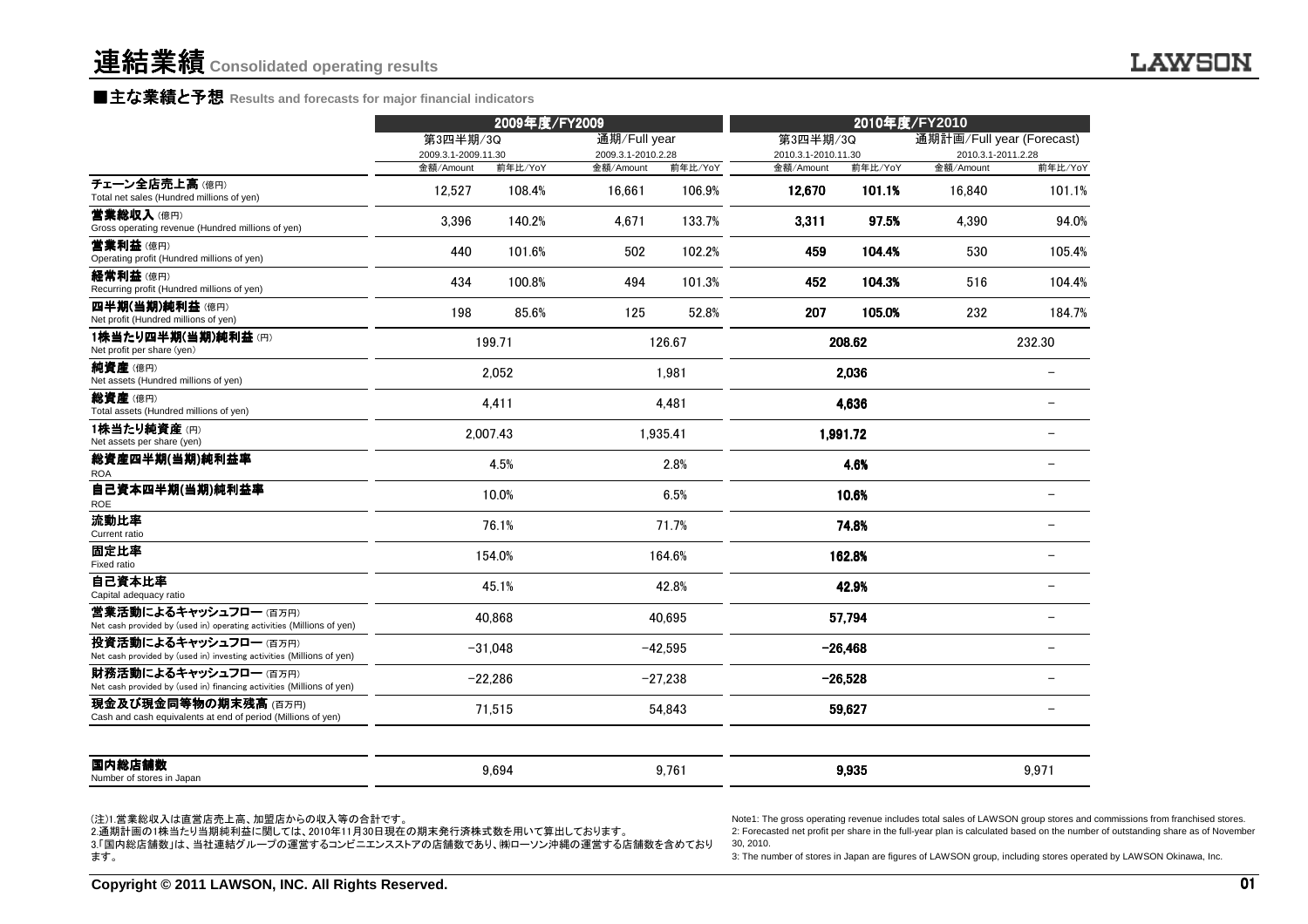### ■主な業績と予想 Results and forecasts for major financial indicators<br>←←←←

|                                                                                               |                                 | 2009年度/FY2009 |                                    |           | 2010年度/FY2010                   |           |                                                 |                          |
|-----------------------------------------------------------------------------------------------|---------------------------------|---------------|------------------------------------|-----------|---------------------------------|-----------|-------------------------------------------------|--------------------------|
|                                                                                               | 第3四半期/3Q<br>2009.3.1-2009.11.30 |               | 通期/Full year<br>2009.3.1-2010.2.28 |           | 第3四半期/3Q<br>2010.3.1-2010.11.30 |           | 通期計画/Full year (Forecast)<br>2010.3.1-2011.2.28 |                          |
|                                                                                               | 金額/Amount                       | 前年比/YoY       | 金額/Amount                          | 前年比/YoY   | 金額/Amount                       | 前年比/YoY   | 金額/Amount                                       | 前年比/YoY                  |
| チェーン全店売上高(億円)<br>Total net sales (Hundred millions of yen)                                    | 12.527                          | 108.4%        | 16.661                             | 106.9%    | 12.670                          | 101.1%    | 16.840                                          | 101.1%                   |
| 営業総収入(億円)<br>Gross operating revenue (Hundred millions of yen)                                | 3,396                           | 140.2%        | 4,671                              | 133.7%    | 3.311                           | 97.5%     | 4,390                                           | 94.0%                    |
| 营業利益(億円)<br>Operating profit (Hundred millions of yen)                                        | 440                             | 101.6%        | 502                                | 102.2%    | 459                             | 104.4%    | 530                                             | 105.4%                   |
| 経常利益(億円)<br>Recurring profit (Hundred millions of yen)                                        | 434                             | 100.8%        | 494                                | 101.3%    | 452                             | 104.3%    | 516                                             | 104.4%                   |
| 四半期(当期)純利益(億円)<br>Net profit (Hundred millions of yen)                                        | 198                             | 85.6%         | 125                                | 52.8%     | 207                             | 105.0%    | 232                                             | 184.7%                   |
| 1株当たり四半期(当期)純利益(円)<br>Net profit per share (yen)                                              |                                 | 199.71        |                                    | 126.67    |                                 | 208.62    |                                                 | 232.30                   |
| 純資産(億円)<br>Net assets (Hundred millions of yen)                                               |                                 | 2,052         |                                    | 1,981     |                                 | 2.036     |                                                 |                          |
| 総資産(億円)<br>Total assets (Hundred millions of yen)                                             |                                 | 4,411         |                                    | 4,481     |                                 | 4,636     |                                                 |                          |
| 1株当たり純資産(円)<br>Net assets per share (yen)                                                     |                                 | 2,007.43      |                                    | 1,935.41  |                                 | 1,991.72  |                                                 |                          |
| 総資産四半期(当期)純利益率<br><b>ROA</b>                                                                  |                                 | 4.5%          |                                    | 2.8%      |                                 | 4.6%      |                                                 | $\overline{\phantom{0}}$ |
| 自己資本四半期(当期)純利益率<br><b>ROE</b>                                                                 |                                 | 10.0%         |                                    | 6.5%      |                                 | 10.6%     |                                                 | $\overline{\phantom{0}}$ |
| 流動比率<br>Current ratio                                                                         |                                 | 76.1%         |                                    | 71.7%     |                                 | 74.8%     |                                                 | $\overline{\phantom{0}}$ |
| 固定比率<br>Fixed ratio                                                                           |                                 | 154.0%        |                                    | 164.6%    |                                 | 162.8%    |                                                 | $\overline{\phantom{0}}$ |
| 自己資本比率<br>Capital adequacy ratio                                                              |                                 | 45.1%         |                                    | 42.8%     |                                 | 42.9%     |                                                 |                          |
| 営業活動によるキャッシュフロー(百万円)<br>Net cash provided by (used in) operating activities (Millions of yen) |                                 | 40.868        |                                    | 40.695    |                                 | 57.794    |                                                 |                          |
| 投資活動によるキャッシュフロー(百万円)<br>Net cash provided by (used in) investing activities (Millions of yen) |                                 | $-31.048$     |                                    | $-42,595$ |                                 | $-26,468$ |                                                 |                          |
| 財務活動によるキャッシュフロー(百万円)<br>Net cash provided by (used in) financing activities (Millions of yen) |                                 | $-22,286$     |                                    | $-27,238$ |                                 | $-26,528$ |                                                 |                          |
| 現金及び現金同等物の期末残高 (百万円)<br>Cash and cash equivalents at end of period (Millions of yen)          |                                 | 71,515        |                                    | 54,843    |                                 | 59,627    |                                                 | $\overline{\phantom{0}}$ |
| 国内総店舗数<br>Number of stores in Japan                                                           |                                 | 9,694         |                                    | 9,761     |                                 | 9,935     |                                                 | 9,971                    |

(注)1.営業総収入は直営店売上高、加盟店からの収入等の合計です。

 2.通期計画の1株当たり当期純利益に関しては、2010年11月30日現在の期末発行済株式数を用いて算出しております。 3.「国内総店舗数」は、当社連結グループの運営するコンビニエンスストアの店舗数であり、㈱ローソン沖縄の運営する店舗数を含めております。

Note1: The gross operating revenue includes total sales of LAWSON group stores and commissions from franchised stores.<br>2: Forecasted net profit per share in the full-year plan is calculated based on the number of outstandi 30, 2010.

3: The number of stores in Japan are figures of LAWSON group, including stores operated by LAWSON Okinawa, Inc.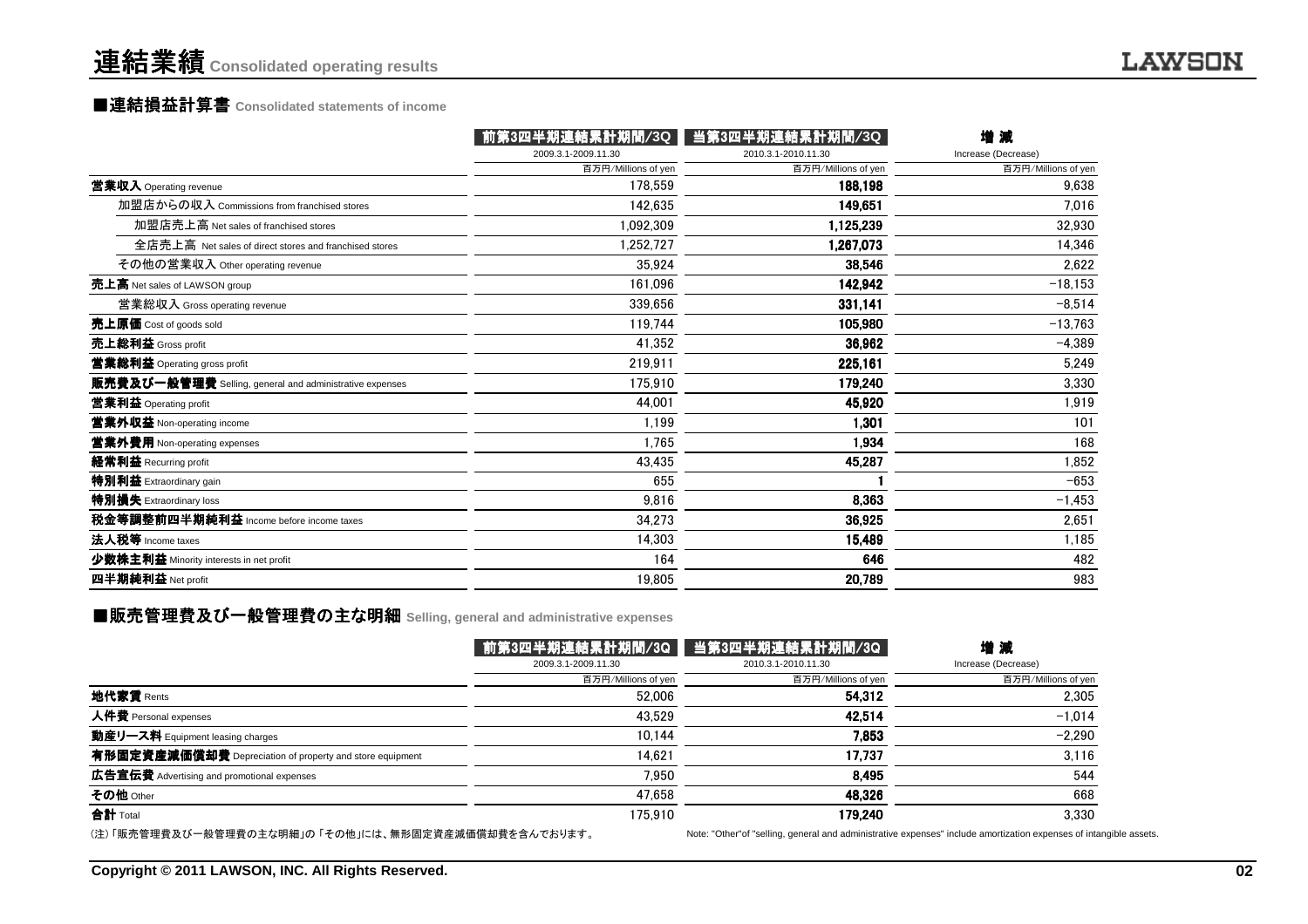### 連結業績**Consolidated operating results**

### ■連結損益計算書 ■連結損益計算書**Consolidated statements of income**

|                                                         | 前第3四半期連結累計期間/3Q     | 当第3四半期連結累計期間/3Q     | 增減                  |
|---------------------------------------------------------|---------------------|---------------------|---------------------|
|                                                         | 2009.3.1-2009.11.30 | 2010.3.1-2010.11.30 | Increase (Decrease) |
|                                                         | 百万円/Millions of yen | 百万円/Millions of yen | 百万円/Millions of yen |
| 営業収入 Operating revenue                                  | 178.559             | 188,198             | 9,638               |
| 加盟店からの収入 Commissions from franchised stores             | 142.635             | 149,651             | 7.016               |
| 加盟店売上高 Net sales of franchised stores                   | 1.092.309           | 1,125,239           | 32,930              |
| 全店売上高 Net sales of direct stores and franchised stores  | 1,252,727           | 1,267,073           | 14.346              |
| その他の営業収入 Other operating revenue                        | 35.924              | 38,546              | 2,622               |
| 売上高 Net sales of LAWSON group                           | 161,096             | 142,942             | $-18,153$           |
| 営業総収入 Gross operating revenue                           | 339.656             | 331,141             | $-8,514$            |
| 売上原価 Cost of goods sold                                 | 119,744             | 105,980             | $-13,763$           |
| 売上総利益 Gross profit                                      | 41.352              | 36,962              | $-4,389$            |
| 営業総利益 Operating gross profit                            | 219.911             | 225,161             | 5.249               |
| 販売費及び一般管理費 Selling, general and administrative expenses | 175.910             | 179,240             | 3,330               |
| 営業利益 Operating profit                                   | 44.001              | 45,920              | 1,919               |
| 営業外収益 Non-operating income                              | 1.199               | 1,301               | 101                 |
| 営業外費用 Non-operating expenses                            | 1.765               | 1,934               | 168                 |
| 経常利益 Recurring profit                                   | 43,435              | 45,287              | 1,852               |
| 特別利益 Extraordinary gain                                 | 655                 |                     | $-653$              |
| 特別損失 Extraordinary loss                                 | 9.816               | 8,363               | $-1,453$            |
| 税金等調整前四半期純利益 Income before income taxes                 | 34.273              | 36,925              | 2,651               |
| 法人税等 Income taxes                                       | 14,303              | 15,489              | 1,185               |
| 少数株主利益 Minority interests in net profit                 | 164                 | 646                 | 482                 |
| 四半期純利益 Net profit                                       | 19,805              | 20,789              | 983                 |
|                                                         |                     |                     |                     |

### ■販売管理費及び一般管理費の主な明細 Selling, general and administrative expenses<br>-

|                                                          |                     | │前第3四半期連結累計期間/3Q │ 当第3四半期連結累計期間/3Q │ | 増減                                                                                                                  |
|----------------------------------------------------------|---------------------|--------------------------------------|---------------------------------------------------------------------------------------------------------------------|
|                                                          | 2009.3.1-2009.11.30 | 2010.3.1-2010.11.30                  | Increase (Decrease)                                                                                                 |
|                                                          | 百万円/Millions of yen | 百万円/Millions of yen                  | 百万円/Millions of yen                                                                                                 |
| <b>地代家賃</b> Rents                                        | 52.006              | 54.312                               | 2,305                                                                                                               |
| 人件費 Personal expenses                                    | 43.529              | 42.514                               | $-1,014$                                                                                                            |
| 動産リース料 Equipment leasing charges                         | 10.144              | 7.853                                | $-2,290$                                                                                                            |
| 有形固定資産減価償却費 Depreciation of property and store equipment | 14.621              | 17.737                               | 3,116                                                                                                               |
| 広告宣伝費 Advertising and promotional expenses               | 7.950               | 8.495                                | 544                                                                                                                 |
| その他 Other                                                | 47.658              | 48.326                               | 668                                                                                                                 |
| 合計 Total                                                 | 175.910             | 179.240                              | 3.330                                                                                                               |
| (注)「販売管理費及び一般管理費の主な明細」の 「その他」には、無形固定資産減価償却費を含んでおります。     |                     |                                      | Note: "Other" of "selling, general and administrative expenses" include amortization expenses of intangible assets. |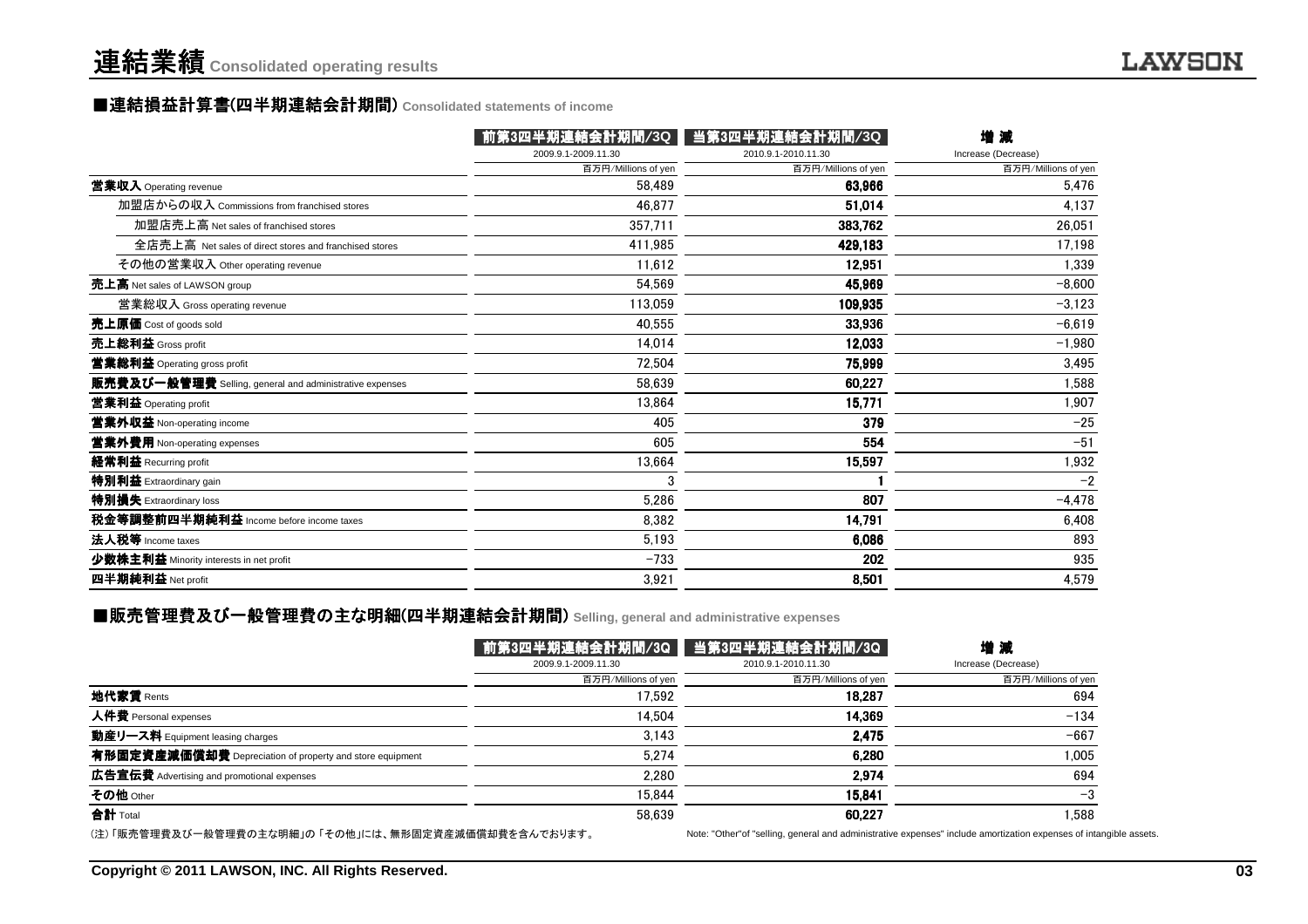### ■連結損益計算書(四半期連結会計期間) Consolidated statements of income<br>────────────────────────────

| 2009.9.1-2009.11.30<br>2010.9.1-2010.11.30<br>Increase (Decrease)<br>百万円/Millions of yen<br>百万円/Millions of yen<br>百万円/Millions of yen<br>営業収入 Operating revenue<br>58.489<br>63,966<br>5,476<br>加盟店からの収入 Commissions from franchised stores<br>4,137<br>46.877<br>51,014<br>加盟店売上高 Net sales of franchised stores<br>357,711<br>383,762<br>26.051<br>全店売上高 Net sales of direct stores and franchised stores<br>411,985<br>17,198<br>429,183<br>その他の営業収入 Other operating revenue<br>11.612<br>12,951<br>1.339<br>54.569<br>45,969<br>$-8.600$<br>売上高 Net sales of LAWSON group<br>113,059<br>営業総収入 Gross operating revenue<br>109,935<br>$-3,123$<br>40.555<br>33,936<br>$-6,619$<br>売上原価 Cost of goods sold<br>売上総利益 Gross profit<br>14.014<br>12,033<br>$-1,980$<br>72.504<br>75,999<br>3,495<br>営業総利益 Operating gross profit<br>販売費及び一般管理費 Selling, general and administrative expenses<br>58,639<br>1,588<br>60,227<br>15,771<br>1,907<br>営業利益 Operating profit<br>13.864<br>$-25$<br>営業外収益 Non-operating income<br>405<br>379<br>$-51$<br>605<br>554<br>営業外費用 Non-operating expenses<br>1,932<br>経常利益 Recurring profit<br>13,664<br>15,597<br>特別利益 Extraordinary gain<br>$-2$<br>3<br>特別損失 Extraordinary loss<br>807<br>$-4,478$<br>5.286<br>8,382<br>14,791<br>6,408<br>法人税等 Income taxes<br>5,193<br>6.086<br>893<br>$-733$<br>202<br>935<br>少数株主利益 Minority interests in net profit<br>四半期純利益 Net profit<br>3,921<br>8,501<br>4,579 |                                         | 前第3四半期連結会計期間/3Q | 当第3四半期連結会計期間/3Q | 增減 |
|---------------------------------------------------------------------------------------------------------------------------------------------------------------------------------------------------------------------------------------------------------------------------------------------------------------------------------------------------------------------------------------------------------------------------------------------------------------------------------------------------------------------------------------------------------------------------------------------------------------------------------------------------------------------------------------------------------------------------------------------------------------------------------------------------------------------------------------------------------------------------------------------------------------------------------------------------------------------------------------------------------------------------------------------------------------------------------------------------------------------------------------------------------------------------------------------------------------------------------------------------------------------------------------------------------------------------------------------------------------------------------------------------------------------------------------------|-----------------------------------------|-----------------|-----------------|----|
|                                                                                                                                                                                                                                                                                                                                                                                                                                                                                                                                                                                                                                                                                                                                                                                                                                                                                                                                                                                                                                                                                                                                                                                                                                                                                                                                                                                                                                             |                                         |                 |                 |    |
|                                                                                                                                                                                                                                                                                                                                                                                                                                                                                                                                                                                                                                                                                                                                                                                                                                                                                                                                                                                                                                                                                                                                                                                                                                                                                                                                                                                                                                             |                                         |                 |                 |    |
|                                                                                                                                                                                                                                                                                                                                                                                                                                                                                                                                                                                                                                                                                                                                                                                                                                                                                                                                                                                                                                                                                                                                                                                                                                                                                                                                                                                                                                             |                                         |                 |                 |    |
|                                                                                                                                                                                                                                                                                                                                                                                                                                                                                                                                                                                                                                                                                                                                                                                                                                                                                                                                                                                                                                                                                                                                                                                                                                                                                                                                                                                                                                             |                                         |                 |                 |    |
|                                                                                                                                                                                                                                                                                                                                                                                                                                                                                                                                                                                                                                                                                                                                                                                                                                                                                                                                                                                                                                                                                                                                                                                                                                                                                                                                                                                                                                             |                                         |                 |                 |    |
|                                                                                                                                                                                                                                                                                                                                                                                                                                                                                                                                                                                                                                                                                                                                                                                                                                                                                                                                                                                                                                                                                                                                                                                                                                                                                                                                                                                                                                             |                                         |                 |                 |    |
|                                                                                                                                                                                                                                                                                                                                                                                                                                                                                                                                                                                                                                                                                                                                                                                                                                                                                                                                                                                                                                                                                                                                                                                                                                                                                                                                                                                                                                             |                                         |                 |                 |    |
|                                                                                                                                                                                                                                                                                                                                                                                                                                                                                                                                                                                                                                                                                                                                                                                                                                                                                                                                                                                                                                                                                                                                                                                                                                                                                                                                                                                                                                             |                                         |                 |                 |    |
|                                                                                                                                                                                                                                                                                                                                                                                                                                                                                                                                                                                                                                                                                                                                                                                                                                                                                                                                                                                                                                                                                                                                                                                                                                                                                                                                                                                                                                             |                                         |                 |                 |    |
|                                                                                                                                                                                                                                                                                                                                                                                                                                                                                                                                                                                                                                                                                                                                                                                                                                                                                                                                                                                                                                                                                                                                                                                                                                                                                                                                                                                                                                             |                                         |                 |                 |    |
|                                                                                                                                                                                                                                                                                                                                                                                                                                                                                                                                                                                                                                                                                                                                                                                                                                                                                                                                                                                                                                                                                                                                                                                                                                                                                                                                                                                                                                             |                                         |                 |                 |    |
|                                                                                                                                                                                                                                                                                                                                                                                                                                                                                                                                                                                                                                                                                                                                                                                                                                                                                                                                                                                                                                                                                                                                                                                                                                                                                                                                                                                                                                             |                                         |                 |                 |    |
|                                                                                                                                                                                                                                                                                                                                                                                                                                                                                                                                                                                                                                                                                                                                                                                                                                                                                                                                                                                                                                                                                                                                                                                                                                                                                                                                                                                                                                             |                                         |                 |                 |    |
|                                                                                                                                                                                                                                                                                                                                                                                                                                                                                                                                                                                                                                                                                                                                                                                                                                                                                                                                                                                                                                                                                                                                                                                                                                                                                                                                                                                                                                             |                                         |                 |                 |    |
|                                                                                                                                                                                                                                                                                                                                                                                                                                                                                                                                                                                                                                                                                                                                                                                                                                                                                                                                                                                                                                                                                                                                                                                                                                                                                                                                                                                                                                             |                                         |                 |                 |    |
|                                                                                                                                                                                                                                                                                                                                                                                                                                                                                                                                                                                                                                                                                                                                                                                                                                                                                                                                                                                                                                                                                                                                                                                                                                                                                                                                                                                                                                             |                                         |                 |                 |    |
|                                                                                                                                                                                                                                                                                                                                                                                                                                                                                                                                                                                                                                                                                                                                                                                                                                                                                                                                                                                                                                                                                                                                                                                                                                                                                                                                                                                                                                             |                                         |                 |                 |    |
|                                                                                                                                                                                                                                                                                                                                                                                                                                                                                                                                                                                                                                                                                                                                                                                                                                                                                                                                                                                                                                                                                                                                                                                                                                                                                                                                                                                                                                             |                                         |                 |                 |    |
|                                                                                                                                                                                                                                                                                                                                                                                                                                                                                                                                                                                                                                                                                                                                                                                                                                                                                                                                                                                                                                                                                                                                                                                                                                                                                                                                                                                                                                             |                                         |                 |                 |    |
|                                                                                                                                                                                                                                                                                                                                                                                                                                                                                                                                                                                                                                                                                                                                                                                                                                                                                                                                                                                                                                                                                                                                                                                                                                                                                                                                                                                                                                             | 税金等調整前四半期純利益 Income before income taxes |                 |                 |    |
|                                                                                                                                                                                                                                                                                                                                                                                                                                                                                                                                                                                                                                                                                                                                                                                                                                                                                                                                                                                                                                                                                                                                                                                                                                                                                                                                                                                                                                             |                                         |                 |                 |    |
|                                                                                                                                                                                                                                                                                                                                                                                                                                                                                                                                                                                                                                                                                                                                                                                                                                                                                                                                                                                                                                                                                                                                                                                                                                                                                                                                                                                                                                             |                                         |                 |                 |    |
|                                                                                                                                                                                                                                                                                                                                                                                                                                                                                                                                                                                                                                                                                                                                                                                                                                                                                                                                                                                                                                                                                                                                                                                                                                                                                                                                                                                                                                             |                                         |                 |                 |    |

### ■販売管理費及び一般管理費の主な明細(四半期連結会計期間) Selling, general and administrative expenses<br>-

|                                                          |                     | 前第3四半期連結会計期間/3Q   当第3四半期連結会計期間/3Q                                                                     | 増減                  |
|----------------------------------------------------------|---------------------|-------------------------------------------------------------------------------------------------------|---------------------|
|                                                          | 2009.9.1-2009.11.30 | 2010.9.1-2010.11.30                                                                                   | Increase (Decrease) |
|                                                          | 百万円/Millions of yen | 百万円/Millions of yen                                                                                   | 百万円/Millions of yen |
| 地代家賃 Rents                                               | 17.592              | 18.287                                                                                                | 694                 |
| 人件費 Personal expenses                                    | 14.504              | 14.369                                                                                                | $-134$              |
| 動産リース料 Equipment leasing charges                         | 3.143               | 2.475                                                                                                 | $-667$              |
| 有形固定資産減価償却費 Depreciation of property and store equipment | 5.274               | 6.280                                                                                                 | 1,005               |
| 広告宣伝費 Advertising and promotional expenses               | 2.280               | 2.974                                                                                                 | 694                 |
| その他 Other                                                | 15.844              | 15.841                                                                                                | -3                  |
| 合計 Total                                                 | 58.639              | 60.227                                                                                                | .588                |
| (注) 「販売管理費及び一般管理費の主な明細」の 「その他」には、無形固定資産減価償却費を含んでおります。    |                     | Note: "Other" of "selling, general and administrative expenses" include amortization expenses of inta |                     |

Note: "Other"of "selling, general and administrative expenses" include amortization expenses of intangible assets.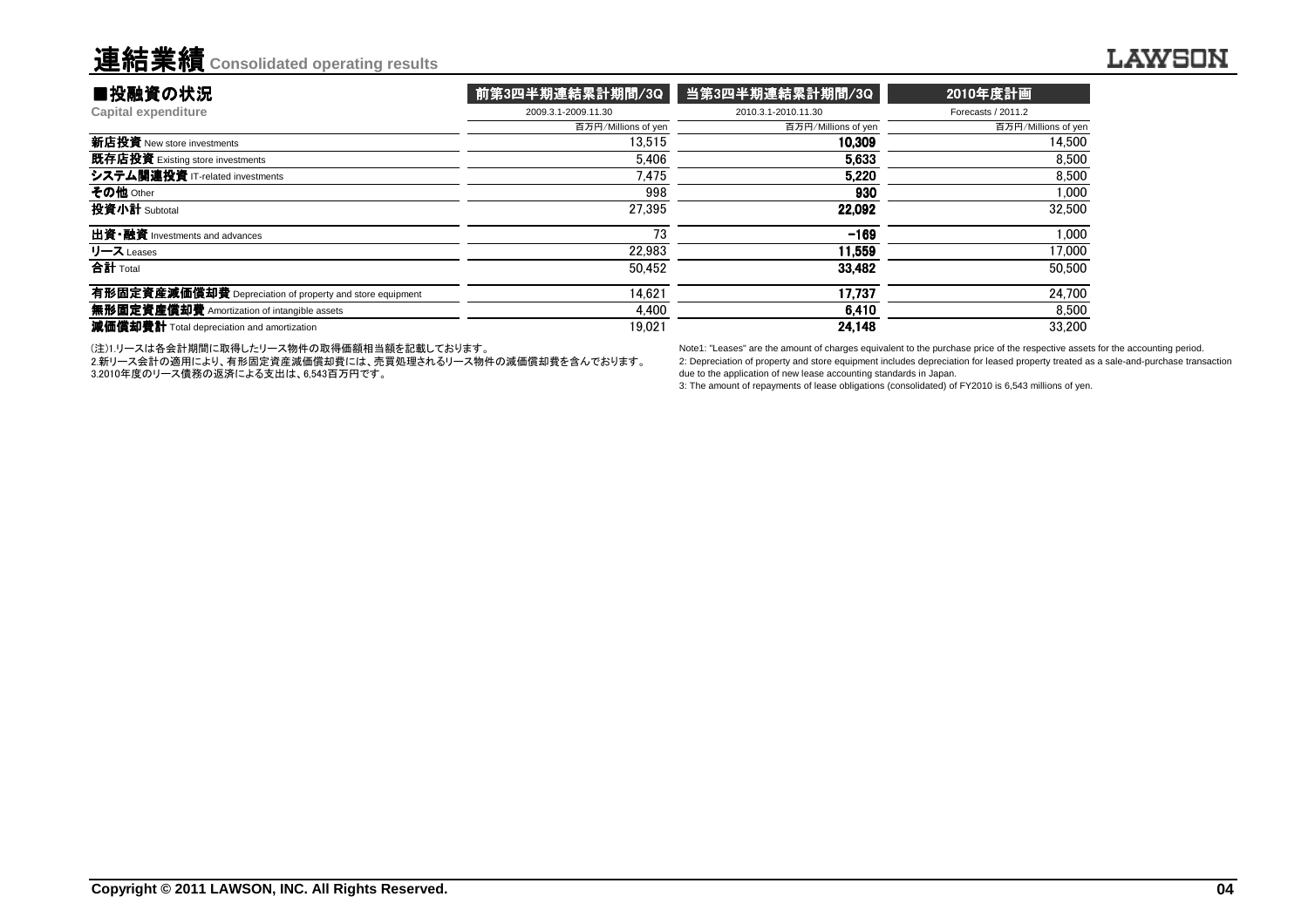| ■投融資の状況                                                  | 前第3四半期連結累計期間/3Q     | 当第3四半期連結累計期間/3Q     | 2010年度計画            |
|----------------------------------------------------------|---------------------|---------------------|---------------------|
| <b>Capital expenditure</b>                               | 2009.3.1-2009.11.30 | 2010.3.1-2010.11.30 | Forecasts / 2011.2  |
|                                                          | 百万円/Millions of yen | 百万円/Millions of yen | 百万円/Millions of yen |
| 新店投資 New store investments                               | 13.515              | 10,309              | 14.500              |
| 既存店投資 Existing store investments                         | 5.406               | 5.633               | 8.500               |
| システム関連投資 IT-related investments                          | 7.475               | 5.220               | 8.500               |
| その他 Other                                                | 998                 | 930                 | 1,000               |
| 投資小計 Subtotal                                            | 27.395              | 22.092              | 32,500              |
| 出資·融資 Investments and advances                           | 73                  | $-169$              | 1.000               |
| リース Leases                                               | 22.983              | 11.559              | 17,000              |
| 合計 Total                                                 | 50.452              | 33,482              | 50,500              |
| 有形固定資産減価償却費 Depreciation of property and store equipment | 14.621              | 17.737              | 24.700              |
| 無形固定資産償却費 Amortization of intangible assets              | 4.400               | 6.410               | 8,500               |
| 減価償却費計 Total depreciation and amortization               | 19.021              | 24,148              | 33,200              |
|                                                          |                     |                     |                     |

(注)1.リースは各会計期間に取得したリース物件の取得価額相当額を記載しております。

 2.新リース会計の適用により、有形固定資産減価償却費には、売買処理されるリース物件の減価償却費を含んでおります。3.2010年度のリース債務の返済による支出は、6,543百万円です。

Note1: "Leases" are the amount of charges equivalent to the purchase price of the respective assets for the accounting period. 2: Depreciation of property and store equipment includes depreciation for leased property treated as a sale-and-purchase transactiondue to the application of new lease accounting standards in Japan.

3: The amount of repayments of lease obligations (consolidated) of FY2010 is 6,543 millions of yen.

連結業績**Consolidated operating results**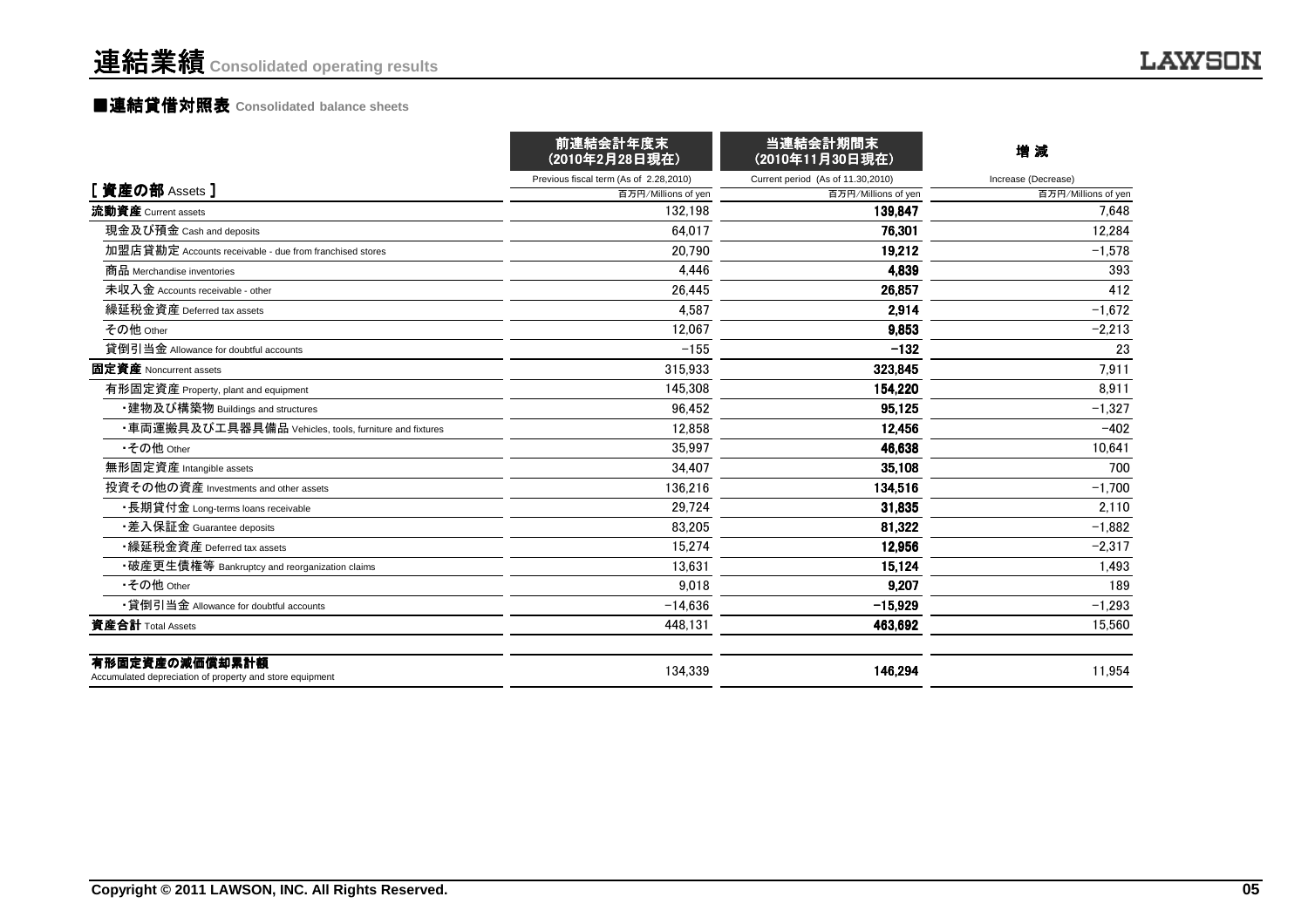### ■連結貸借対照表 **Consolidated balance sheets**

|                                                                            | 前連結会計年度末<br>(2010年2月28日現在)             | 当連結会計期間末<br>(2010年11月30日現在)       | 増 減                 |
|----------------------------------------------------------------------------|----------------------------------------|-----------------------------------|---------------------|
|                                                                            | Previous fiscal term (As of 2.28,2010) | Current period (As of 11.30,2010) | Increase (Decrease) |
| [ 資産の部 Assets ]                                                            | 百万円/Millions of yen                    | 百万円/Millions of yen               | 百万円/Millions of yen |
| 流動資産 Current assets                                                        | 132.198                                | 139.847                           | 7.648               |
| 現金及び預金 Cash and deposits                                                   | 64.017                                 | 76.301                            | 12.284              |
| 加盟店貸勘定 Accounts receivable - due from franchised stores                    | 20,790                                 | 19,212                            | $-1,578$            |
| 商品 Merchandise inventories                                                 | 4.446                                  | 4,839                             | 393                 |
| 未収入金 Accounts receivable - other                                           | 26,445                                 | 26,857                            | 412                 |
| 繰延税金資産 Deferred tax assets                                                 | 4,587                                  | 2.914                             | $-1,672$            |
| その他 Other                                                                  | 12.067                                 | 9,853                             | $-2,213$            |
| 貸倒引当金 Allowance for doubtful accounts                                      | $-155$                                 | $-132$                            | 23                  |
| 固定資産 Noncurrent assets                                                     | 315,933                                | 323,845                           | 7,911               |
| 有形固定資産 Property, plant and equipment                                       | 145,308                                | 154,220                           | 8,911               |
| ・建物及び構築物 Buildings and structures                                          | 96.452                                 | 95.125                            | $-1.327$            |
| ・車両運搬具及び工具器具備品 Vehicles, tools, furniture and fixtures                     | 12.858                                 | 12,456                            | $-402$              |
| •その他 Other                                                                 | 35.997                                 | 46.638                            | 10,641              |
| 無形固定資産 Intangible assets                                                   | 34,407                                 | 35,108                            | 700                 |
| 投資その他の資産 Investments and other assets                                      | 136.216                                | 134,516                           | $-1,700$            |
| ・長期貸付金 Long-terms loans receivable                                         | 29.724                                 | 31.835                            | 2,110               |
| •差入保証金 Guarantee deposits                                                  | 83,205                                 | 81,322                            | $-1.882$            |
| •繰延税金資産 Deferred tax assets                                                | 15,274                                 | 12,956                            | $-2,317$            |
| •破産更生債権等 Bankruptcy and reorganization claims                              | 13.631                                 | 15,124                            | 1,493               |
| •その他 Other                                                                 | 9.018                                  | 9,207                             | 189                 |
| •貸倒引当金 Allowance for doubtful accounts                                     | $-14.636$                              | $-15,929$                         | $-1,293$            |
| 資産合計 Total Assets                                                          | 448.131                                | 463,692                           | 15.560              |
| 有形固定資産の減価償却累計額<br>Accumulated depreciation of property and store equipment | 134.339                                | 146,294                           | 11.954              |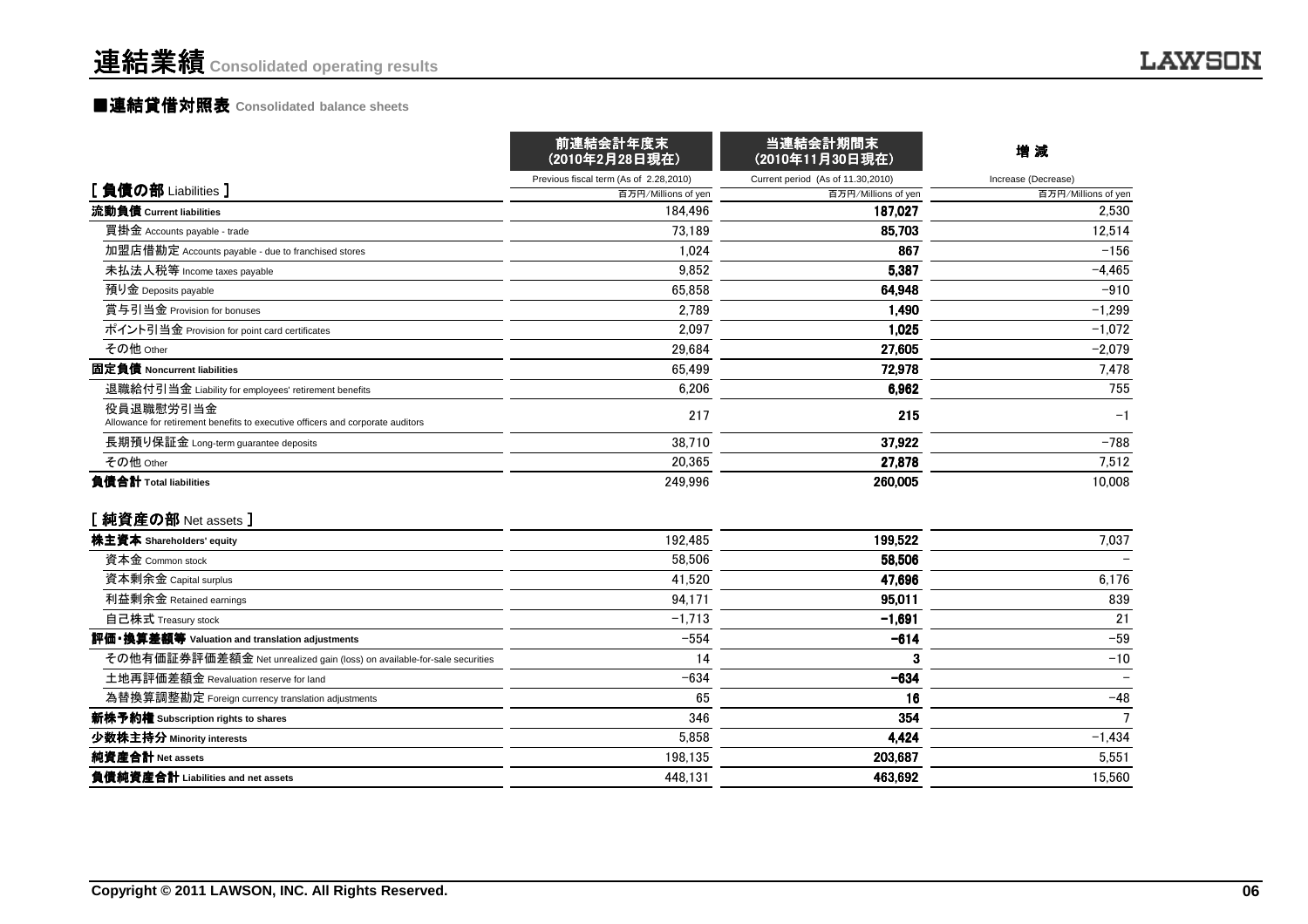#### ■連結貸借対照表 **Consolidated balance sheets**

|                                                                                             | 前連結会計年度末<br>(2010年2月28日現在)             | 当連結会計期間末<br>(2010年11月30日現在)       | 增減                  |  |
|---------------------------------------------------------------------------------------------|----------------------------------------|-----------------------------------|---------------------|--|
|                                                                                             | Previous fiscal term (As of 2.28,2010) | Current period (As of 11.30,2010) | Increase (Decrease) |  |
| [負債の部 Liabilities]                                                                          | 百万円/Millions of yen                    | 百万円/Millions of yen               | 百万円/Millions of yen |  |
| 流動負債 Current liabilities                                                                    | 184.496                                | 187.027                           | 2,530               |  |
| 買掛金 Accounts payable - trade                                                                | 73,189                                 | 85,703                            | 12,514              |  |
| 加盟店借勘定 Accounts payable - due to franchised stores                                          | 1.024                                  | 867                               | $-156$              |  |
| 未払法人税等 Income taxes payable                                                                 | 9.852                                  | 5.387                             | $-4,465$            |  |
| 預り金 Deposits payable                                                                        | 65.858                                 | 64,948                            | $-910$              |  |
| 賞与引当金 Provision for bonuses                                                                 | 2,789                                  | 1,490                             | $-1,299$            |  |
| ポイント引当金 Provision for point card certificates                                               | 2,097                                  | 1,025                             | $-1,072$            |  |
| その他 Other                                                                                   | 29,684                                 | 27,605                            | $-2,079$            |  |
| 固定負債 Noncurrent liabilities                                                                 | 65,499                                 | 72,978                            | 7,478               |  |
| 退職給付引当金 Liability for employees' retirement benefits                                        | 6,206                                  | 6,962                             | 755                 |  |
| 役員退職慰労引当金<br>Allowance for retirement benefits to executive officers and corporate auditors | 217                                    | 215                               | $-1$                |  |
| 長期預り保証金 Long-term guarantee deposits                                                        | 38,710                                 | 37,922                            | $-788$              |  |
| その他 Other                                                                                   | 20,365                                 | 27,878                            | 7,512               |  |
| 負債合計 Total liabilities<br>[純資産の部 Net assets ]                                               | 249.996                                | 260,005                           | 10.008              |  |
| 株主資本 Shareholders' equity                                                                   | 192,485                                | 199,522                           | 7,037               |  |
| 資本金 Common stock                                                                            | 58.506                                 | 58,506                            |                     |  |
| 資本剰余金 Capital surplus                                                                       | 41,520                                 | 47.696                            | 6,176               |  |
| 利益剰余金 Retained earnings                                                                     | 94,171                                 | 95,011                            | 839                 |  |
| 自己株式 Treasury stock                                                                         | $-1,713$                               | $-1,691$                          | 21                  |  |
| 評価・換算差額等 Valuation and translation adjustments                                              | $-554$                                 | $-614$                            | $-59$               |  |
| その他有価証券評価差額金 Net unrealized gain (loss) on available-for-sale securities                    | 14                                     | 3                                 | $-10$               |  |
| 土地再評価差額金 Revaluation reserve for land                                                       | $-634$                                 | $-634$                            |                     |  |
| 為替換算調整勘定 Foreign currency translation adjustments                                           | 65                                     | 16                                | $-48$               |  |
| 新株予約権 Subscription rights to shares                                                         | 346                                    | 354                               | $\overline{7}$      |  |
| 少数株主持分 Minority interests                                                                   | 5,858                                  | 4,424                             | $-1,434$            |  |
| 純資産合計 Net assets                                                                            | 198,135                                | 203,687                           | 5,551               |  |
| 負債純資産合計 Liabilities and net assets                                                          | 448.131                                | 463,692                           | 15.560              |  |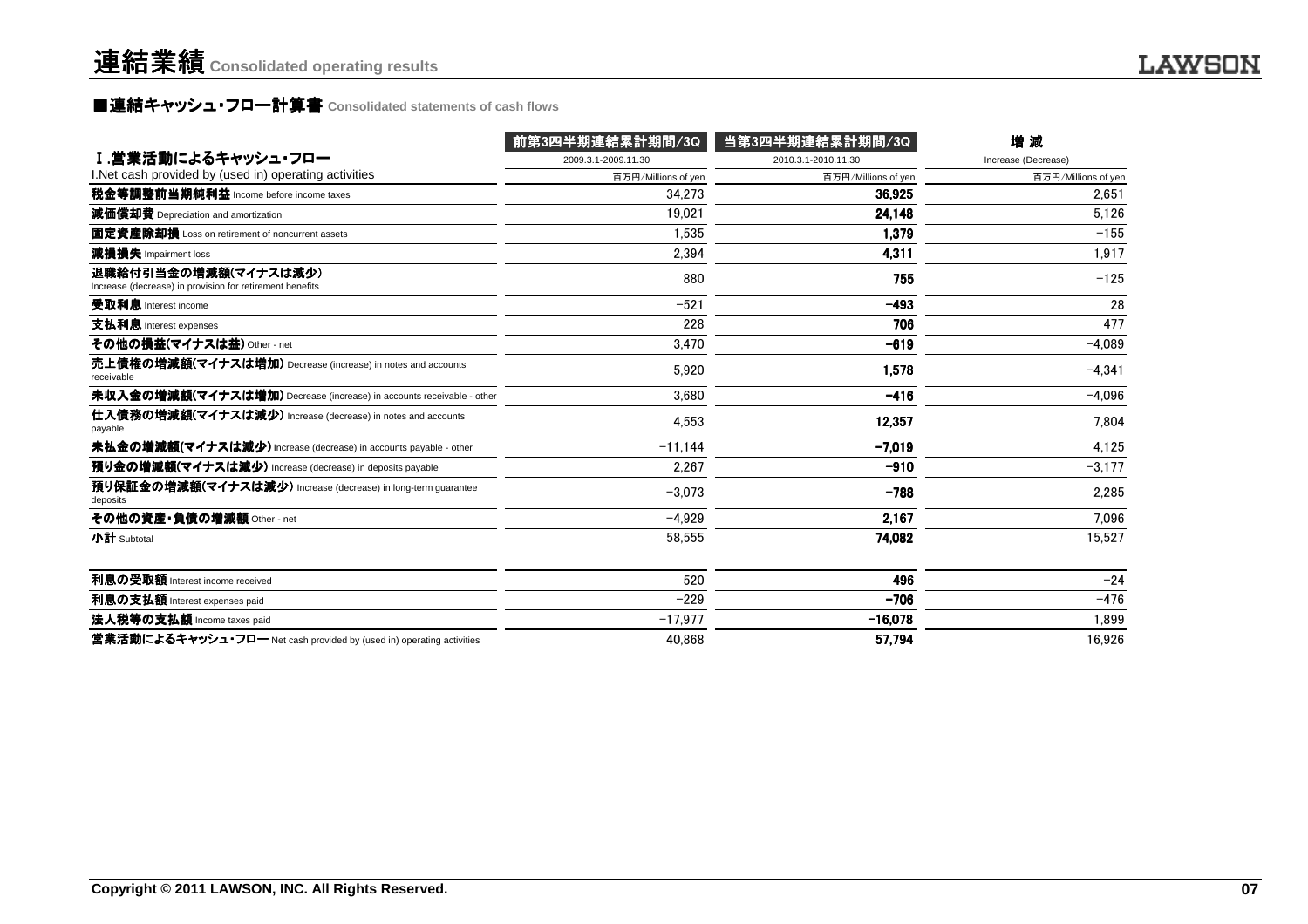### **■連結キャッシュ・フロ一計算書 Consolidated statements of cash flows**

|                                                                                  | 前第3四半期連結累計期間/3Q     | 当第3四半期連結累計期間/3Q     | 增減                  |
|----------------------------------------------------------------------------------|---------------------|---------------------|---------------------|
| Ⅰ.営業活動によるキャッシュ・フロー                                                               | 2009.3.1-2009.11.30 | 2010.3.1-2010.11.30 | Increase (Decrease) |
| I. Net cash provided by (used in) operating activities                           | 百万円/Millions of yen | 百万円/Millions of yen | 百万円/Millions of yen |
| 税金等調整前当期純利益 Income before income taxes                                           | 34.273              | 36.925              | 2,651               |
| 減価償却費 Depreciation and amortization                                              | 19.021              | 24,148              | 5,126               |
| 固定資産除却損 Loss on retirement of noncurrent assets                                  | 1.535               | 1.379               | $-155$              |
| 減損損失 Impairment loss                                                             | 2.394               | 4,311               | 1,917               |
| 退職給付引当金の増減額(マイナスは減少)<br>Increase (decrease) in provision for retirement benefits | 880                 | 755                 | $-125$              |
| 受取利息 Interest income                                                             | $-521$              | $-493$              | 28                  |
| 支払利息 Interest expenses                                                           | 228                 | 706                 | 477                 |
| その他の損益(マイナスは益) Other - net                                                       | 3.470               | $-619$              | $-4.089$            |
| 売上債権の増減額(マイナスは増加) Decrease (increase) in notes and accounts<br>receivable        | 5.920               | 1,578               | $-4.341$            |
| 未収入金の増減額(マイナスは増加) Decrease (increase) in accounts receivable - other             | 3.680               | $-416$              | $-4,096$            |
| 仕入債務の増減額(マイナスは減少) Increase (decrease) in notes and accounts<br>payable           | 4,553               | 12.357              | 7,804               |
| 未払金の増減額(マイナスは減少) Increase (decrease) in accounts payable - other                 | $-11.144$           | $-7.019$            | 4.125               |
| 預り金の増減額(マイナスは減少) Increase (decrease) in deposits payable                         | 2,267               | $-910$              | $-3,177$            |
| 預り保証金の増減額(マイナスは減少) Increase (decrease) in long-term guarantee<br>deposits        | $-3.073$            | $-788$              | 2,285               |
| その他の資産・負債の増減額 Other - net                                                        | $-4.929$            | 2,167               | 7.096               |
| 小計 Subtotal                                                                      | 58,555              | 74,082              | 15,527              |
| 利息の受取額 Interest income received                                                  | 520                 | 496                 | $-24$               |
| 利息の支払額 Interest expenses paid                                                    | $-229$              | $-706$              | $-476$              |
| 法人税等の支払額 Income taxes paid                                                       | $-17,977$           | $-16,078$           | 1,899               |
| 営業活動によるキャッシュ・フロー Net cash provided by (used in) operating activities             | 40.868              | 57,794              | 16.926              |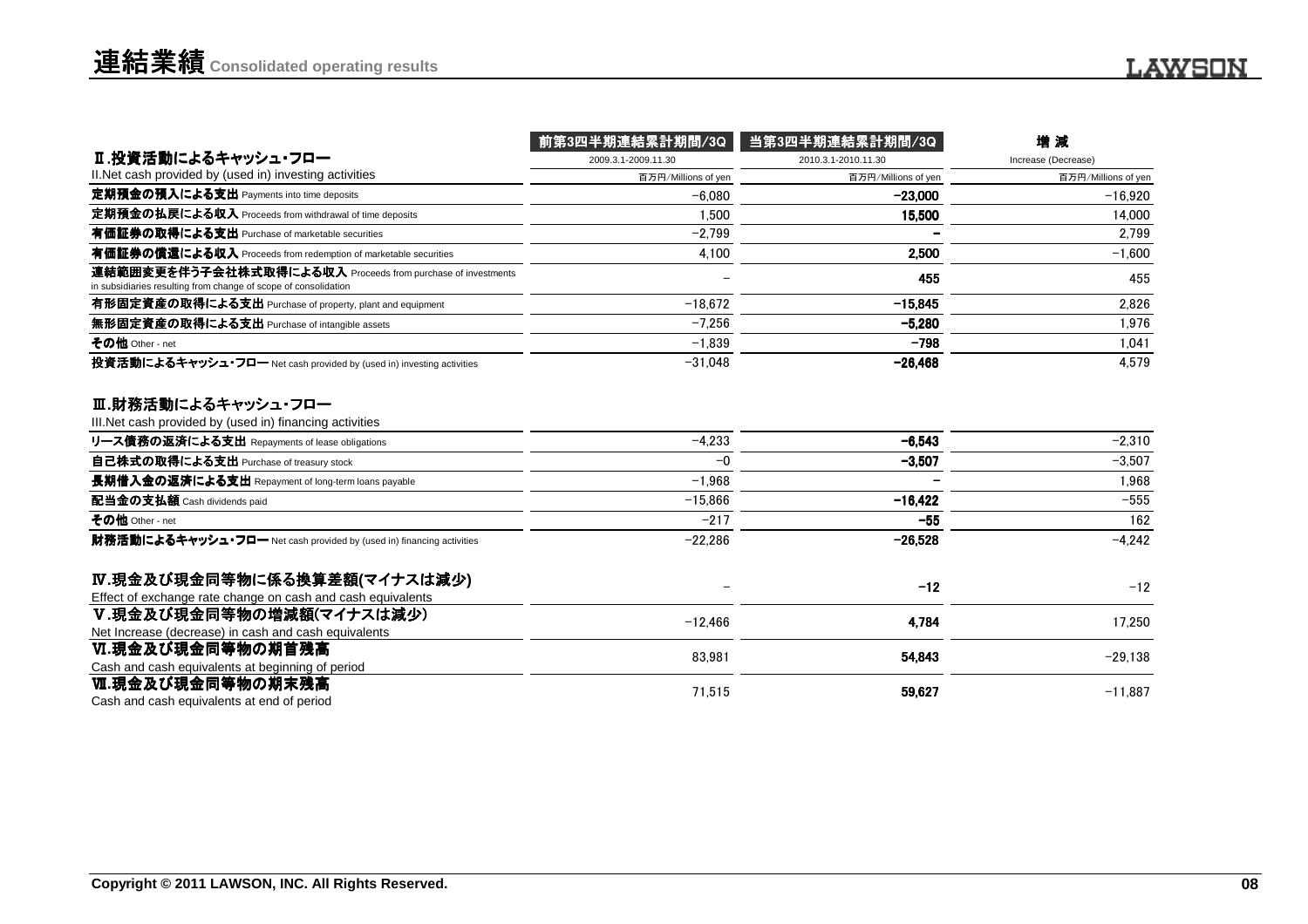|                                                                                                                                | 前第3四半期連結累計期間/3Q     | 当第3四半期連結累計期間/3Q     | 増減                  |
|--------------------------------------------------------------------------------------------------------------------------------|---------------------|---------------------|---------------------|
| Ⅱ.投資活動によるキャッシュ・フロー                                                                                                             | 2009.3.1-2009.11.30 | 2010.3.1-2010.11.30 | Increase (Decrease) |
| II. Net cash provided by (used in) investing activities                                                                        | 百万円/Millions of yen | 百万円/Millions of yen | 百万円/Millions of yen |
| 定期預金の預入による支出 Payments into time deposits                                                                                       | $-6.080$            | $-23,000$           | $-16,920$           |
| 定期預金の払戻による収入 Proceeds from withdrawal of time deposits                                                                         | 1.500               | 15,500              | 14.000              |
| 有価証券の取得による支出 Purchase of marketable securities                                                                                 | $-2.799$            |                     | 2.799               |
| 有価証券の償還による収入 Proceeds from redemption of marketable securities                                                                 | 4.100               | 2.500               | $-1.600$            |
| 連結範囲変更を伴う子会社株式取得による収入 Proceeds from purchase of investments<br>in subsidiaries resulting from change of scope of consolidation |                     | 455                 | 455                 |
| 有形固定資産の取得による支出 Purchase of property, plant and equipment                                                                       | $-18.672$           | $-15.845$           | 2,826               |
| 無形固定資産の取得による支出 Purchase of intangible assets                                                                                   | $-7.256$            | $-5,280$            | 1.976               |
| その他 Other - net                                                                                                                | $-1.839$            | $-798$              | 1.041               |
| 投資活動によるキャッシュ・フロー Net cash provided by (used in) investing activities                                                           | $-31,048$           | $-26,468$           | 4.579               |
| Ⅲ.財務活動によるキャッシュ・フロー<br>III. Net cash provided by (used in) financing activities                                                 |                     |                     |                     |
| リース債務の返済による支出 Repayments of lease obligations                                                                                  | $-4,233$            | $-6,543$            | $-2,310$            |
| 自己株式の取得による支出 Purchase of treasury stock                                                                                        | $-0$                | $-3,507$            | $-3,507$            |
| 長期借入金の返済による支出 Repayment of long-term loans payable                                                                             | $-1.968$            |                     | 1.968               |
| 配当金の支払額 Cash dividends paid                                                                                                    | $-15.866$           | $-16.422$           | $-555$              |
| その他 Other - net                                                                                                                | $-217$              | $-55$               | 162                 |
| 財務活動によるキャッシュ・フロー Net cash provided by (used in) financing activities                                                           | $-22.286$           | $-26,528$           | $-4,242$            |
| Ⅳ.現金及び現金同等物に係る換算差額(マイナスは減少)<br>Effect of exchange rate change on cash and cash equivalents                                     |                     | $-12$               | $-12$               |
| V.現金及び現金同等物の増減額(マイナスは減少)<br>Net Increase (decrease) in cash and cash equivalents                                               | $-12,466$           | 4,784               | 17,250              |
| Ⅵ.現金及び現金同等物の期首残高<br>Cash and cash equivalents at beginning of period                                                           | 83,981              | 54,843              | $-29,138$           |
| Ⅵ.現金及び現金同等物の期末残高<br>Cash and cash equivalents at end of period                                                                 | 71,515              | 59,627              | $-11,887$           |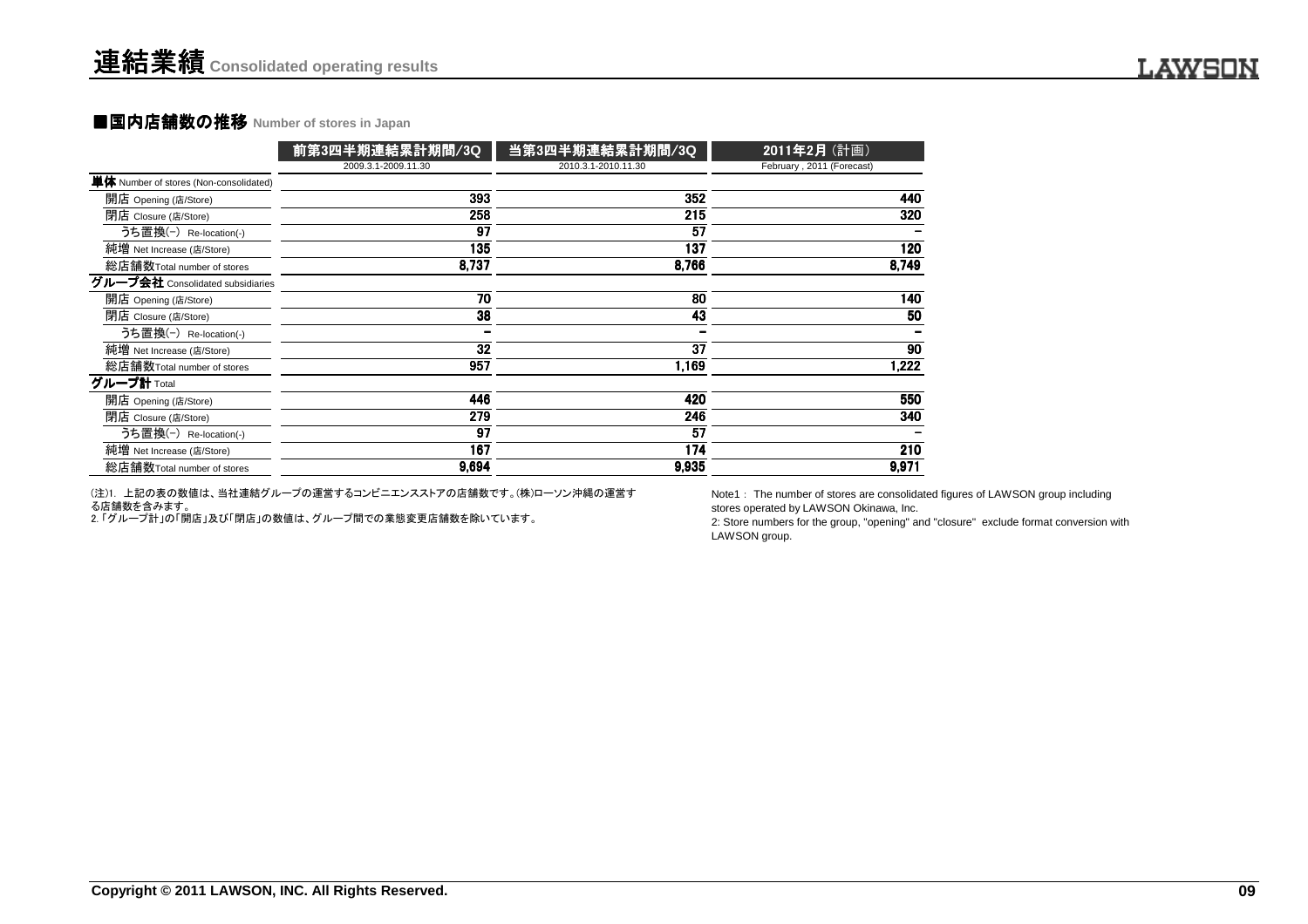#### **■国内店舗数の推移 Number of stores in Japan**

|                                               | 前第3四半期連結累計期間/3Q     | 当第3四半期連結累計期間/3Q     | 2011年2月 (計画)              |
|-----------------------------------------------|---------------------|---------------------|---------------------------|
|                                               | 2009.3.1-2009.11.30 | 2010.3.1-2010.11.30 | February, 2011 (Forecast) |
| <b>単体</b> Number of stores (Non-consolidated) |                     |                     |                           |
| 開店 Opening (店/Store)                          | 393                 | 352                 | 440                       |
| 閉店 Closure (店/Store)                          | 258                 | 215                 | 320                       |
| うち置換(-) Re-location(-)                        | 97                  | 57                  |                           |
| 純増 Net Increase (店/Store)                     | 135                 | 137                 | 120                       |
| 総店舗数Total number of stores                    | 8,737               | 8,766               | 8,749                     |
| グループ会社 Consolidated subsidiaries              |                     |                     |                           |
| 開店 Opening (店/Store)                          | 70                  | 80                  | 140                       |
| 閉店 Closure (店/Store)                          | 38                  | 43                  | 50                        |
| うち置換(-) Re-location(-)                        |                     |                     |                           |
| 純増 Net Increase (店/Store)                     | 32                  | 37                  | 90                        |
| 総店舗数Total number of stores                    | 957                 | 1,169               | 1,222                     |
| グループ計 Total                                   |                     |                     |                           |
| 開店 Opening (店/Store)                          | 446                 | 420                 | 550                       |
| 閉店 Closure (店/Store)                          | 279                 | 246                 | 340                       |
| うち置換(-) Re-location(-)                        | 97                  | 57                  |                           |
| 純増 Net Increase (店/Store)                     | 167                 | 174                 | 210                       |
| 総店舗数Total number of stores                    | 9,694               | 9,935               | 9,971                     |

(注)1. 上記の表の数値は、当社連結グループの運営するコンビニエンスストアの店舗数です。(株)ローソン沖縄の運営する店舗数を含みます。

2. 「グループ計」の「開店」及び「閉店」の数値は、グループ間での業態変更店舗数を除いています。

Note1: The number of stores are consolidated figures of LAWSON group including stores operated by LAWSON Okinawa, Inc.

 2: Store numbers for the group, "opening" and "closure" exclude format conversion withLAWSON group.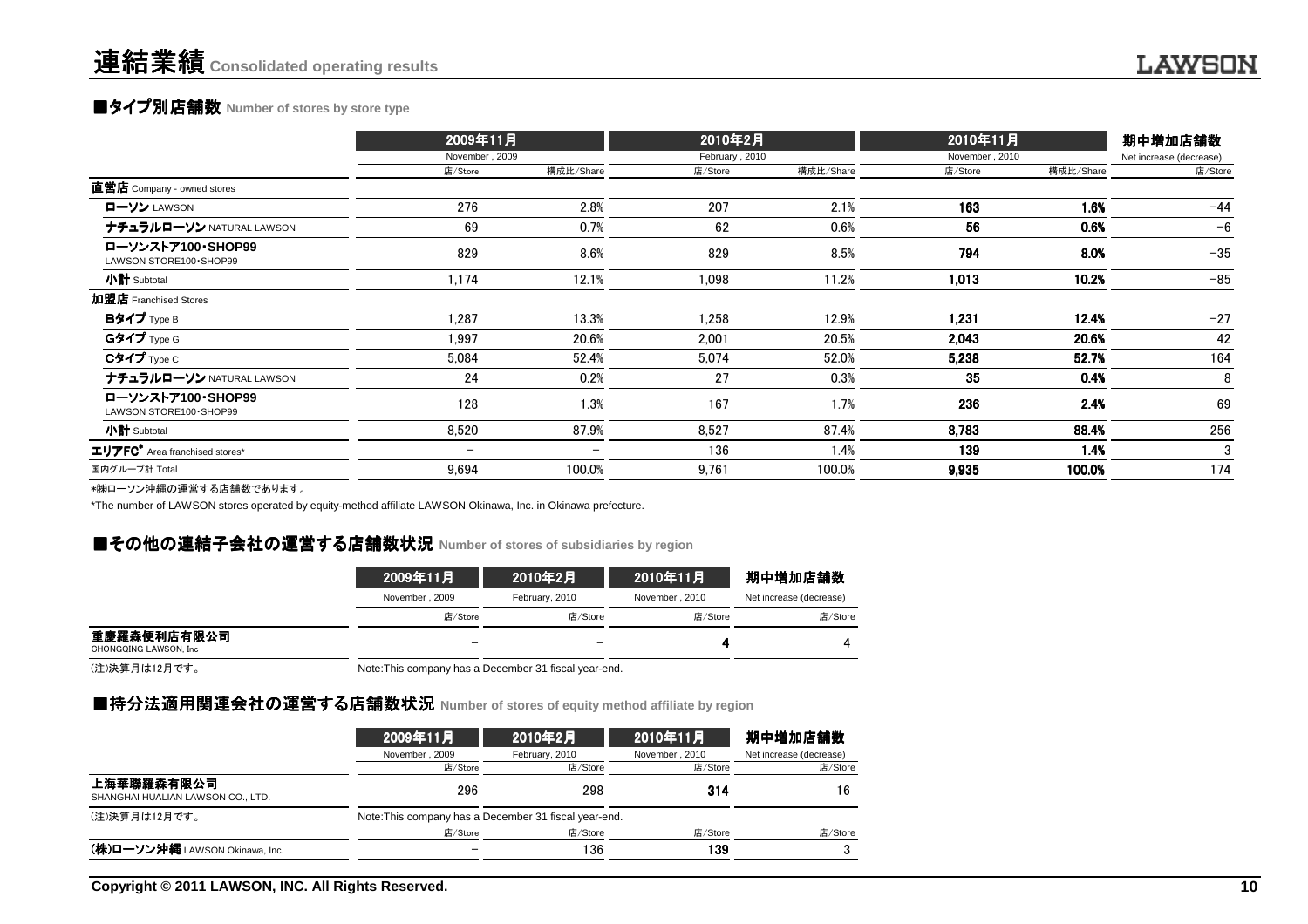### **■タイプ別店舗数** Number of stores by store type

|                                               | 2009年11月                 |           | 2010年2月        |           | 2010年11月<br>November, 2010 |           | 期中増加店舗数                 |
|-----------------------------------------------|--------------------------|-----------|----------------|-----------|----------------------------|-----------|-------------------------|
|                                               | November, 2009           |           | February, 2010 |           |                            |           | Net increase (decrease) |
|                                               | 店/Store                  | 構成比/Share | 店/Store        | 構成比/Share | 店/Store                    | 構成比/Share | 店/Store                 |
| 直営店 Company - owned stores                    |                          |           |                |           |                            |           |                         |
| ローソン LAWSON                                   | 276                      | 2.8%      | 207            | 2.1%      | 163                        | 1.6%      | $-44$                   |
| ナチュラルローソン NATURAL LAWSON                      | 69                       | 0.7%      | 62             | 0.6%      | 56                         | 0.6%      | $-6$                    |
| ローソンストア100·SHOP99<br>LAWSON STORE100 · SHOP99 | 829                      | 8.6%      | 829            | 8.5%      | 794                        | 8.0%      | $-35$                   |
| 小計 Subtotal                                   | 1,174                    | 12.1%     | 1,098          | 11.2%     | 1,013                      | 10.2%     | $-85$                   |
| 加盟店 Franchised Stores                         |                          |           |                |           |                            |           |                         |
| Bタイプ Type B                                   | 1,287                    | 13.3%     | 1,258          | 12.9%     | 1,231                      | 12.4%     | $-27$                   |
| Gタイプ <sub>Type G</sub>                        | 1,997                    | 20.6%     | 2,001          | 20.5%     | 2,043                      | 20.6%     | 42                      |
| Cタイプ Type C                                   | 5,084                    | 52.4%     | 5,074          | 52.0%     | 5,238                      | 52.7%     | 164                     |
| ナチュラルローソン NATURAL LAWSON                      | 24                       | 0.2%      | 27             | 0.3%      | 35                         | 0.4%      | 8                       |
| ローソンストア100·SHOP99<br>LAWSON STORE100 · SHOP99 | 128                      | 1.3%      | 167            | 1.7%      | 236                        | 2.4%      | 69                      |
| 小計 Subtotal                                   | 8,520                    | 87.9%     | 8,527          | 87.4%     | 8,783                      | 88.4%     | 256                     |
| エリアFC <sup>*</sup> Area franchised stores*    | $\overline{\phantom{m}}$ |           | 136            | 1.4%      | 139                        | 1.4%      | 3                       |
| 国内グループ計 Total                                 | 9,694                    | 100.0%    | 9,761          | 100.0%    | 9,935                      | 100.0%    | 174                     |
| ⇒₩□ いいお埋の置巻士は広葉数本もリナナ                         |                          |           |                |           |                            |           |                         |

\*㈱ローソン沖縄の運営する店舗数であります。

\*The number of LAWSON stores operated by equity-method affiliate LAWSON Okinawa, Inc. in Okinawa prefecture.

### **■その他の連結子会社の運営する店舗数状況** Number of stores of subsidiaries by region<br>→

|                                       | 2009年11月                 | 2010年2月        | 2010年11月       | 期中増加店舗数                 |
|---------------------------------------|--------------------------|----------------|----------------|-------------------------|
|                                       | November, 2009           | February, 2010 | November, 2010 | Net increase (decrease) |
|                                       | 店/Store                  | 店/Store        | 店/Store        | 店/Store                 |
| 重慶羅森便利店有限公司<br>CHONGQING LAWSON, Inc. | $\overline{\phantom{m}}$ |                |                |                         |

(注)決算月は12月です。

Note:This company has a December 31 fiscal year-end.

### ■持分法適用関連会社の運営する店舗数状況 Number of stores of equity method affiliate by region<br>→

|                                                 | 2009年11月                                              | 2010年2月        | 2010年11月       | 期中増加店舗数                 |
|-------------------------------------------------|-------------------------------------------------------|----------------|----------------|-------------------------|
|                                                 | November, 2009                                        | February, 2010 | November, 2010 | Net increase (decrease) |
|                                                 | 店/Store                                               | 店/Store        | 店/Store        | 店/Store                 |
| 上海華聯羅森有限公司<br>SHANGHAI HUALIAN LAWSON CO., LTD. | 296                                                   | 298            | 314            | 16                      |
| (注)決算月は12月です。                                   | Note: This company has a December 31 fiscal year-end. |                |                |                         |
|                                                 | 店/Store                                               | 店/Store        | 店/Store        | 店/Store                 |
| (株)ローソン沖縄 LAWSON Okinawa, Inc.                  |                                                       | 136            | 139            |                         |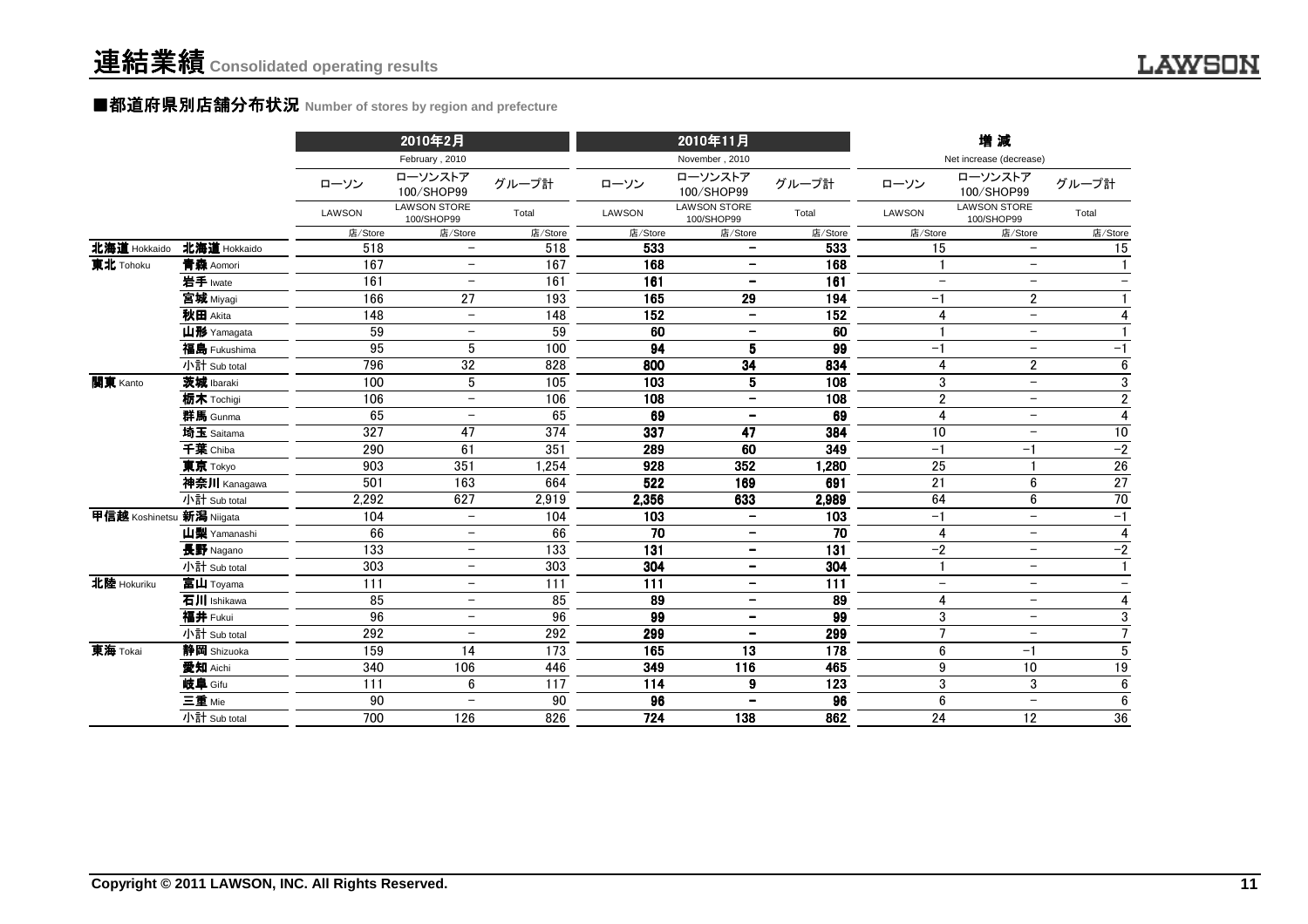#### ■都道府県別店舗分布状況 Number of stores by region and prefecture

|                           |              |               | 2010年2月                           |                  |         | 2010年11月                          |                  |                          | 増減                                |                          |
|---------------------------|--------------|---------------|-----------------------------------|------------------|---------|-----------------------------------|------------------|--------------------------|-----------------------------------|--------------------------|
|                           |              |               | February, 2010                    |                  |         | November, 2010                    |                  |                          | Net increase (decrease)           |                          |
|                           |              | ローソン          | ローソンストア<br>100/SHOP99             | グループ計            | ローソン    | ローソンストア<br>100/SHOP99             | グループ計            | ローソン                     | ローソンストア<br>100/SHOP99             | グループ計                    |
|                           |              | <b>LAWSON</b> | <b>LAWSON STORE</b><br>100/SHOP99 | Total            | LAWSON  | <b>LAWSON STORE</b><br>100/SHOP99 | Total            | LAWSON                   | <b>LAWSON STORE</b><br>100/SHOP99 | Total                    |
|                           |              | 店/Store       | 店/Store                           | 店/Store          | 店/Store | 店/Store                           | 店/Store          | 店/Store                  | 店/Store                           | 店/Store                  |
| 北海道 Hokkaido              | 北海道 Hokkaido | 518           | $\overline{\phantom{0}}$          | 518              | 533     | $\qquad \qquad -$                 | 533              | 15                       | $\overline{\phantom{0}}$          | 15                       |
| 東北 Tohoku                 | 青森 Aomori    | 167           | $\overline{\phantom{a}}$          | 167              | 168     | $\overline{\phantom{a}}$          | 168              |                          | $\overline{\phantom{m}}$          |                          |
|                           | 岩手 Iwate     | 161           | $\qquad \qquad -$                 | 161              | 161     | $\overline{\phantom{a}}$          | 161              | $\overline{\phantom{0}}$ | $\overline{\phantom{m}}$          |                          |
|                           | 宮城 Miyagi    | 166           | 27                                | 193              | 165     | 29                                | 194              | $-1$                     | $\mathbf{2}$                      |                          |
|                           | 秋田 Akita     | 148           | $\overline{\phantom{m}}$          | 148              | 152     | $\overline{\phantom{m}}$          | 152              | $\overline{4}$           | $\overline{\phantom{a}}$          | $\overline{4}$           |
|                           | 山形 Yamagata  | 59            | $\qquad \qquad -$                 | 59               | 60      | $\qquad \qquad -$                 | 60               |                          | $\overline{\phantom{m}}$          |                          |
|                           | 福島 Fukushima | 95            | 5                                 | 100              | 94      | 5                                 | 99               | $-1$                     |                                   | $-1$                     |
|                           | 小計 Sub total | 796           | 32                                | 828              | 800     | 34                                | 834              | $\overline{4}$           | $\overline{c}$                    | 6                        |
| 関東 Kanto                  | 茨城 Ibaraki   | 100           | 5                                 | 105              | 103     | 5                                 | 108              | 3                        | $\overline{\phantom{m}}$          | $\overline{3}$           |
|                           | 栃木 Tochigi   | 106           | $\overline{\phantom{m}}$          | 106              | 108     | $\overline{\phantom{a}}$          | 108              | $\overline{2}$           | $\overline{\phantom{m}}$          | $\overline{2}$           |
|                           | 群馬 Gunma     | 65            | $\overline{\phantom{a}}$          | 65               | 69      | $\overline{\phantom{a}}$          | 69               | $\overline{4}$           | $\overline{\phantom{a}}$          | $\overline{4}$           |
|                           | 埼玉 Saitama   | 327           | 47                                | 374              | 337     | 47                                | 384              | 10                       | $\overline{\phantom{a}}$          | 10                       |
|                           | 千葉 Chiba     | 290           | 61                                | 351              | 289     | 60                                | 349              | $-1$                     | $-1$                              | $-2$                     |
|                           | 東京 Tokyo     | 903           | 351                               | 1,254            | 928     | 352                               | 1,280            | 25                       | $\overline{1}$                    | $26\,$                   |
|                           | 神奈川 Kanagawa | 501           | 163                               | 664              | 522     | 169                               | 691              | 21                       | $6\phantom{1}$                    | $\overline{27}$          |
|                           | 小計 Sub total | 2,292         | 627                               | 2,919            | 2,356   | 633                               | 2,989            | 64                       | 6                                 | 70                       |
| 甲信越 Koshinetsu 新潟 Niigata |              | 104           | $\overline{\phantom{0}}$          | 104              | 103     | $\qquad \qquad -$                 | 103              | $-1$                     | $\overline{\phantom{0}}$          | $-1$                     |
|                           | 山梨 Yamanashi | 66            | $\overline{\phantom{a}}$          | 66               | 70      | $\overline{\phantom{a}}$          | 70               | 4                        | $\overline{\phantom{m}}$          | $\overline{4}$           |
|                           | 長野 Nagano    | 133           | $\overline{\phantom{a}}$          | 133              | 131     | $\overline{\phantom{a}}$          | 131              | $-2$                     | $\overline{\phantom{a}}$          | $-2$                     |
|                           | 小計 Sub total | 303           | $\overline{\phantom{m}}$          | 303              | 304     | $\overline{\phantom{a}}$          | 304              |                          | $\overline{\phantom{m}}$          | $\mathbf{1}$             |
| 北陸 Hokuriku               | 富山 Toyama    | 111           | $\overline{\phantom{m}}$          | $\overline{111}$ | 111     | $\qquad \qquad -$                 | $\overline{111}$ | $\overline{\phantom{m}}$ | $\overline{\phantom{m}}$          | $\overline{\phantom{a}}$ |
|                           | 石川 Ishikawa  | 85            | $\overline{\phantom{m}}$          | 85               | 89      | $\overline{\phantom{m}}$          | 89               | $\overline{4}$           | $\overline{\phantom{m}}$          | 4                        |
|                           | 福井 Fukui     | 96            | $\overline{\phantom{m}}$          | 96               | 99      | $\overline{\phantom{a}}$          | 99               | 3                        | $\overline{\phantom{a}}$          | $\sqrt{3}$               |
|                           | 小計 Sub total | 292           | $\overline{\phantom{m}}$          | 292              | 299     | $\overline{\phantom{m}}$          | 299              | $\overline{7}$           | $\overline{\phantom{m}}$          | $\overline{7}$           |
| 東海 Tokai                  | 静岡 Shizuoka  | 159           | 14                                | 173              | 165     | 13                                | 178              | 6                        | $-1$                              | $\overline{5}$           |
|                           | 愛知 Aichi     | 340           | 106                               | 446              | 349     | 116                               | 465              | 9                        | 10                                | 19                       |
|                           | 岐阜 Gifu      | 111           | 6                                 | 117              | 114     | 9                                 | 123              | 3                        | 3                                 | $\boldsymbol{6}$         |
|                           | 三重 Mie       | 90            | $\overline{\phantom{m}}$          | 90               | 96      | $\overline{\phantom{a}}$          | 96               | 6                        | $\overline{\phantom{a}}$          | 6                        |
|                           | 小計 Sub total | 700           | 126                               | 826              | 724     | 138                               | 862              | 24                       | 12                                | 36                       |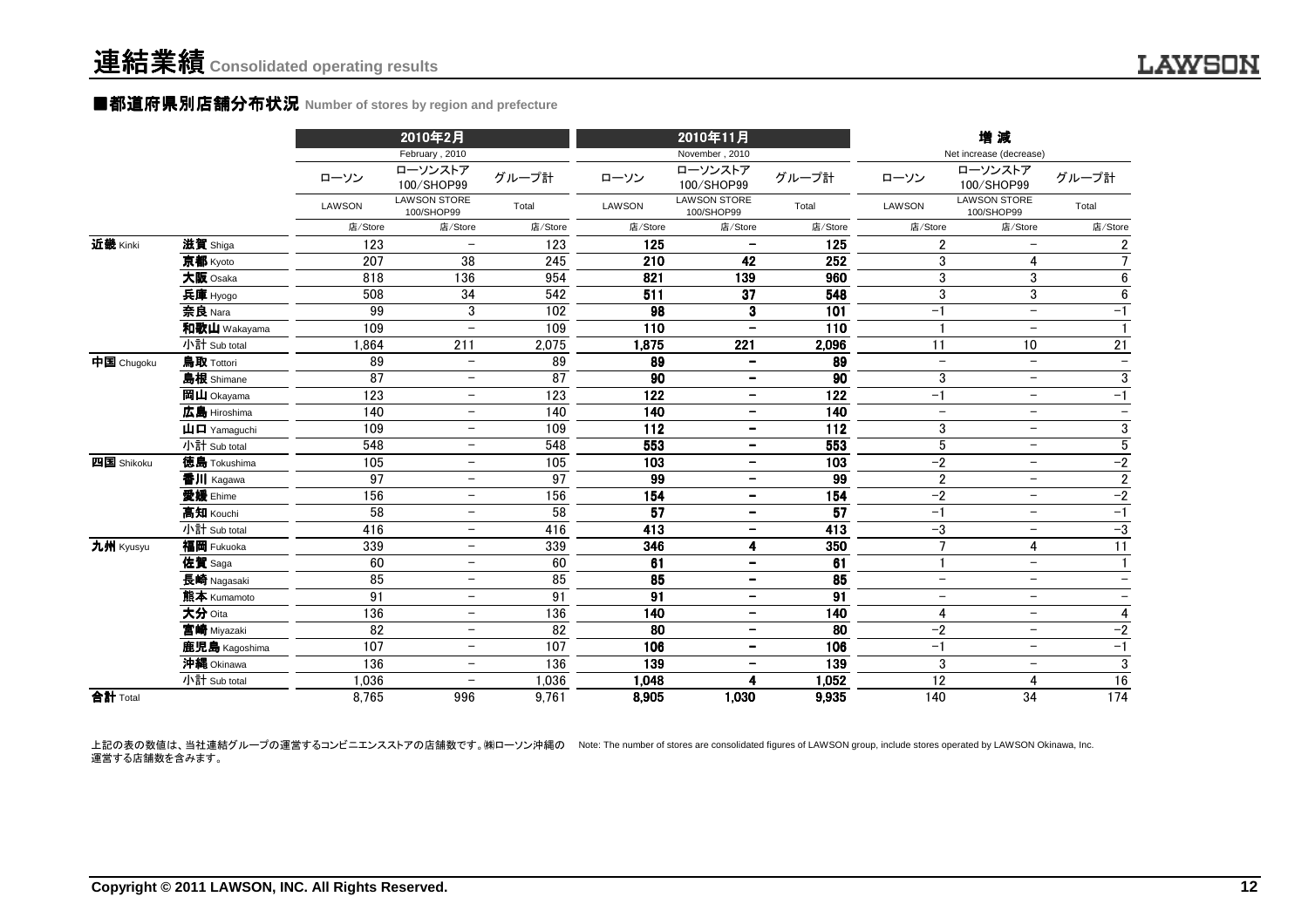#### ■都道府県別店舗分布状況 **Number of stores by region and prefecture**

|            |                                                           |               | 2010年2月                                 |                 |         | 2010年11月                                |                   |                          | 増減                                               |                          |
|------------|-----------------------------------------------------------|---------------|-----------------------------------------|-----------------|---------|-----------------------------------------|-------------------|--------------------------|--------------------------------------------------|--------------------------|
|            |                                                           | ローソン          | February, 2010<br>ローソンストア<br>100/SHOP99 | グループ計           | ローソン    | November, 2010<br>ローソンストア<br>100/SHOP99 | グループ計             | ローソン                     | Net increase (decrease)<br>ローソンストア<br>100/SHOP99 | グループ計                    |
|            |                                                           | <b>LAWSON</b> | <b>LAWSON STORE</b><br>100/SHOP99       | Total           | LAWSON  | <b>LAWSON STORE</b><br>100/SHOP99       | Total             | LAWSON                   | <b>LAWSON STORE</b><br>100/SHOP99                | Total                    |
|            |                                                           | 店/Store       | 店/Store                                 | 店/Store         | 店/Store | 店/Store                                 | 店/Store           | 店/Store                  | 店/Store                                          | 店/Store                  |
| 近畿 Kinki   | 滋賀 Shiga                                                  | 123           | $\overline{\phantom{m}}$                | 123             | 125     |                                         | 125               | $\overline{2}$           |                                                  | $\overline{2}$           |
|            | 京都 Kyoto                                                  | 207           | 38                                      | 245             | 210     | 42                                      | 252               | 3                        | 4                                                | $\overline{7}$           |
|            | 大阪 Osaka                                                  | 818           | 136                                     | 954             | 821     | 139                                     | 960               | 3                        | 3                                                | 6                        |
|            | 兵庫 Hyogo                                                  | 508           | 34                                      | 542             | 511     | 37                                      | 548               | 3                        | 3                                                | 6                        |
|            | 奈良 Nara                                                   | 99            | 3                                       | 102             | 98      | 3                                       | 101               | $-1$                     | $\overline{\phantom{m}}$                         | $-1$                     |
|            | 和歌山 Wakayama                                              | 109           | $\overline{\phantom{0}}$                | 109             | 110     | $\qquad \qquad -$                       | 110               |                          | $\overline{\phantom{0}}$                         | $\mathbf{1}$             |
|            | 小計 Sub total                                              | 1.864         | 211                                     | 2,075           | 1,875   | 221                                     | 2,096             | 11                       | 10                                               | 21                       |
| 中国 Chugoku | 鳥取 Tottori                                                | 89            | $\overline{\phantom{m}}$                | 89              | 89      | $\overline{\phantom{a}}$                | 89                | $\overline{\phantom{m}}$ | $\overline{\phantom{m}}$                         | $\overline{\phantom{m}}$ |
|            | 島根 Shimane                                                | 87            | $\qquad \qquad -$                       | 87              | 90      | $\overline{\phantom{a}}$                | 90                | 3                        | $\overline{\phantom{m}}$                         | $\mathbf{3}$             |
|            | 岡山 Okayama                                                | 123           | $\overline{\phantom{a}}$                | 123             | 122     | $\overline{\phantom{a}}$                | 122               | $-1$                     | $\overline{\phantom{0}}$                         | $-1$                     |
|            | 広島 Hiroshima                                              | 140           | $\overline{\phantom{m}}$                | 140             | 140     | $\overline{\phantom{a}}$                | 140               | $\overline{\phantom{0}}$ | $-$                                              | $\overline{\phantom{m}}$ |
|            | $\mathbf{\mathbf{\mu}}$ $\mathbf{\mathbf{\Pi}}$ Yamaguchi | 109           | $\overline{\phantom{0}}$                | 109             | 112     | $\overline{\phantom{a}}$                | 112               | 3                        | $-$                                              | 3                        |
|            | 小計 Sub total                                              | 548           | $\overline{\phantom{m}}$                | 548             | 553     | $\overline{\phantom{a}}$                | 553               | $\sqrt{5}$               | $\overline{\phantom{m}}$                         | $\overline{5}$           |
| 四国 Shikoku | 徳島 Tokushima                                              | 105           | $\overline{\phantom{m}}$                | 105             | 103     | $\overline{\phantom{m}}$                | 103               | $-2$                     | $\overline{\phantom{0}}$                         | $-2$                     |
|            | 香川 Kagawa                                                 | 97            | $\overline{\phantom{0}}$                | 97              | 99      | $\qquad \qquad -$                       | 99                | $\overline{2}$           | $\overline{\phantom{m}}$                         | $\overline{2}$           |
|            | 愛媛 Ehime                                                  | 156           | $\overline{\phantom{0}}$                | 156             | 154     | $\overline{\phantom{a}}$                | $\frac{154}{154}$ | $-2$                     | $\overline{\phantom{0}}$                         | $-2$                     |
|            | 高知 Kouchi                                                 | 58            | $\overline{\phantom{0}}$                | $\overline{58}$ | 57      | $\overline{\phantom{a}}$                | $\overline{57}$   | $-1$                     | $\overline{\phantom{m}}$                         | $-1$                     |
|            | 小計 Sub total                                              | 416           | $\overline{\phantom{m}}$                | 416             | 413     | $\overline{\phantom{a}}$                | 413               | $-3$                     | $\overline{\phantom{0}}$                         | $-3$                     |
| 九州 Kyusyu  | 福岡 Fukuoka                                                | 339           | -                                       | 339             | 346     | 4                                       | 350               | $\overline{7}$           | $\overline{4}$                                   | 11                       |
|            | 佐賀 Saga                                                   | 60            | $\overline{\phantom{m}}$                | 60              | 61      | $\overline{\phantom{m}}$                | 61                |                          | $-$                                              | $\mathbf{1}$             |
|            | 長崎 Nagasaki                                               | 85            | $\overline{\phantom{0}}$                | 85              | 85      | $\overline{\phantom{m}}$                | 85                | $\overline{\phantom{m}}$ | $-$                                              | $\overline{\phantom{m}}$ |
|            | 熊本 Kumamoto                                               | 91            | $\overline{\phantom{m}}$                | $\overline{91}$ | 91      | $\qquad \qquad \blacksquare$            | $\overline{91}$   | $\overline{\phantom{m}}$ | $\overline{\phantom{0}}$                         | $\overline{\phantom{m}}$ |
|            | 大分 Oita                                                   | 136           | $\overline{\phantom{m}}$                | 136             | 140     | $\overline{\phantom{m}}$                | 140               | 4                        | $-$                                              | $\overline{4}$           |
|            | 宮崎 Miyazaki                                               | 82            | $\overline{\phantom{m}}$                | 82              | 80      | $\qquad \qquad \blacksquare$            | 80                | $-2$                     | $\overline{\phantom{m}}$                         | $-2$                     |
|            | 鹿児島 Kagoshima                                             | 107           | $\overline{\phantom{0}}$                | 107             | 106     | $\overline{\phantom{a}}$                | 106               | $-1$                     | $\overline{\phantom{m}}$                         | $-1$                     |
|            | 沖縄 Okinawa                                                | 136           | $\overline{\phantom{m}}$                | 136             | 139     | $\overline{\phantom{a}}$                | 139               | 3                        | $\overline{\phantom{m}}$                         | $\overline{3}$           |
|            | 小計 Sub total                                              | 1,036         | $\overline{\phantom{a}}$                | 1,036           | 1,048   | 4                                       | 1,052             | 12                       | 4                                                | 16                       |
| 合計 Total   |                                                           | 8,765         | 996                                     | 9,761           | 8,905   | 1,030                                   | 9,935             | 140                      | 34                                               | $\frac{1}{174}$          |

上記の表の数値は、当社連結グループの運営するコンビニエンスストアの店舗数です。㈱ローソン沖縄の Note: The number of stores are consolidated figures of LAWSON group, include stores operated by LAWSON Okinawa, Inc. 運営する店舗数を含みます。

**LAWSON**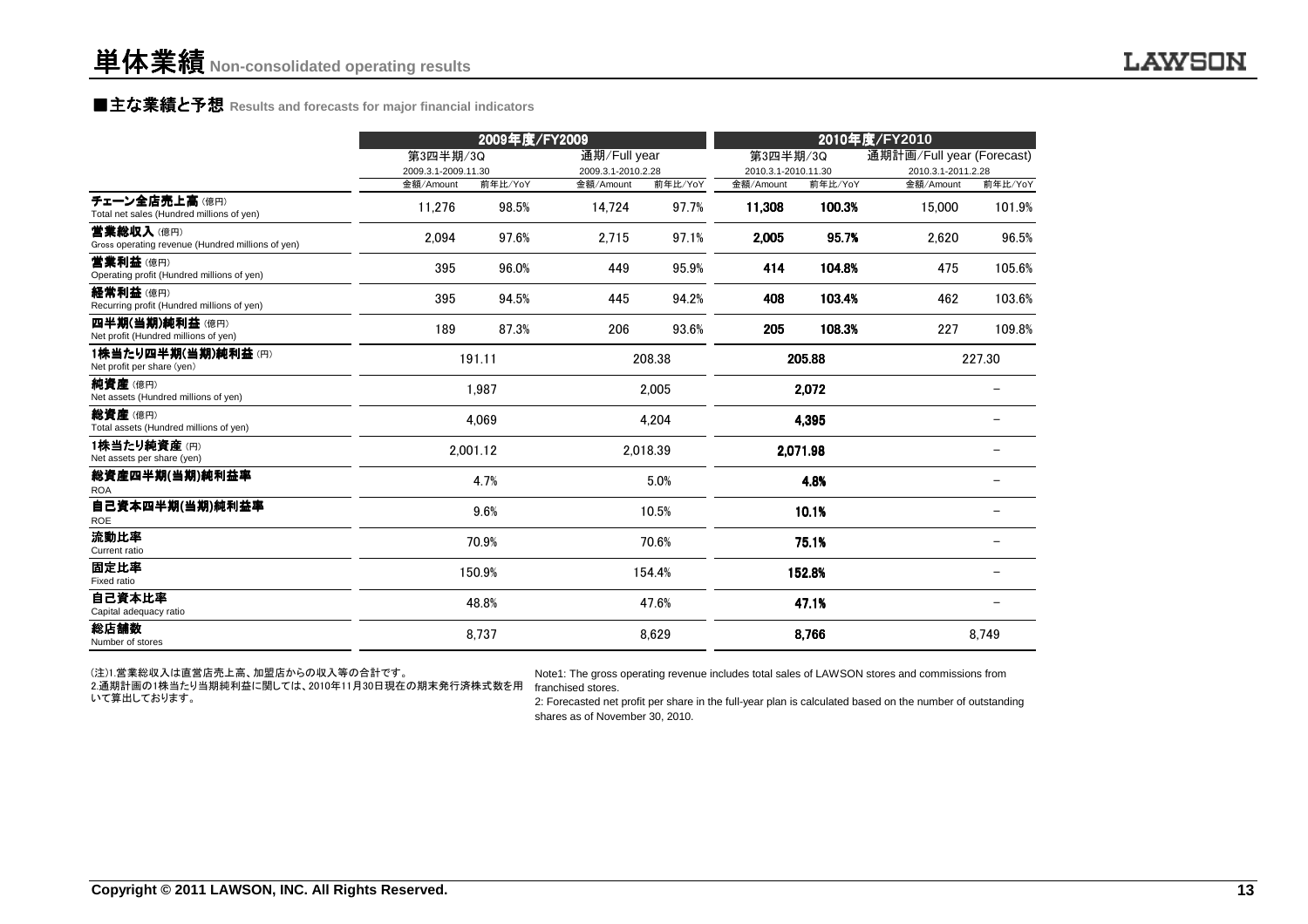### **■主な業績と予想** Results and forecasts for major financial indicators<br>
————————————————————

|                                                                |                                  | 2009年度/FY2009    |                                 |                  | 2010年度/FY2010       |                   |                                 |         |
|----------------------------------------------------------------|----------------------------------|------------------|---------------------------------|------------------|---------------------|-------------------|---------------------------------|---------|
|                                                                | 第3四半期/3Q                         |                  |                                 | 通期/Full year     |                     | 第3四半期/3Q          | 通期計画/Full year (Forecast)       |         |
|                                                                | 2009.3.1-2009.11.30<br>金額/Amount |                  | 2009.3.1-2010.2.28<br>金額/Amount |                  | 2010.3.1-2010.11.30 |                   | 2010.3.1-2011.2.28<br>金額/Amount | 前年比/YoY |
| チェーン全店売上高(億円)<br>Total net sales (Hundred millions of yen)     | 11,276                           | 前年比/YoY<br>98.5% | 14,724                          | 前年比/YoY<br>97.7% | 金額/Amount<br>11,308 | 前年比/YoY<br>100.3% | 15,000                          | 101.9%  |
| 营業総収入(億円)<br>Gross operating revenue (Hundred millions of yen) | 2,094                            | 97.6%            | 2,715                           | 97.1%            | 2,005               | 95.7%             | 2,620                           | 96.5%   |
| 営業利益(億円)<br>Operating profit (Hundred millions of yen)         | 395                              | 96.0%            | 449                             | 95.9%            | 414                 | 104.8%            | 475                             | 105.6%  |
| 経常利益(億円)<br>Recurring profit (Hundred millions of yen)         | 395                              | 94.5%            | 445                             | 94.2%            | 408                 | 103.4%            | 462                             | 103.6%  |
| 四半期(当期)純利益(億円)<br>Net profit (Hundred millions of yen)         | 189                              | 87.3%            | 206                             | 93.6%            | 205                 | 108.3%            | 227                             | 109.8%  |
| 1株当たり四半期(当期)純利益(円)<br>Net profit per share (yen)               |                                  | 191.11           |                                 | 208.38           |                     | 205.88            |                                 | 227.30  |
| 純資産(億円)<br>Net assets (Hundred millions of yen)                |                                  | 1,987            |                                 | 2,005            |                     | 2,072             |                                 |         |
| 総資産(億円)<br>Total assets (Hundred millions of yen)              |                                  | 4,069            |                                 | 4,204            |                     | 4,395             |                                 |         |
| 1株当たり純資産(円)<br>Net assets per share (yen)                      |                                  | 2.001.12         |                                 | 2.018.39         |                     | 2,071.98          |                                 |         |
| 総資産四半期(当期)純利益率<br><b>ROA</b>                                   |                                  | 4.7%             |                                 | 5.0%             |                     | 4.8%              |                                 |         |
| 自己資本四半期(当期)純利益率<br>ROE                                         |                                  | 9.6%             |                                 | 10.5%            |                     | 10.1%             |                                 |         |
| 流動比率<br>Current ratio                                          |                                  | 70.9%            |                                 | 70.6%            |                     | 75.1%             |                                 |         |
| 固定比率<br>Fixed ratio                                            |                                  | 150.9%           |                                 | 154.4%           |                     | 152.8%            |                                 |         |
| 自己資本比率<br>Capital adequacy ratio                               |                                  | 48.8%            |                                 | 47.6%            |                     | 47.1%             |                                 |         |
| 総店舗数<br>Number of stores                                       |                                  | 8,737            |                                 | 8,629            |                     | 8,766             |                                 | 8.749   |

(注)1.営業総収入は直営店売上高、加盟店からの収入等の合計です。

2.通期計画の1株当たり当期純利益に関しては、2010年11月30日現在の期末発行済株式数を用 franchised stores. いて算出しております。

Note1: The gross operating revenue includes total sales of LAWSON stores and commissions from

 2: Forecasted net profit per share in the full-year plan is calculated based on the number of outstandingshares as of November 30, 2010.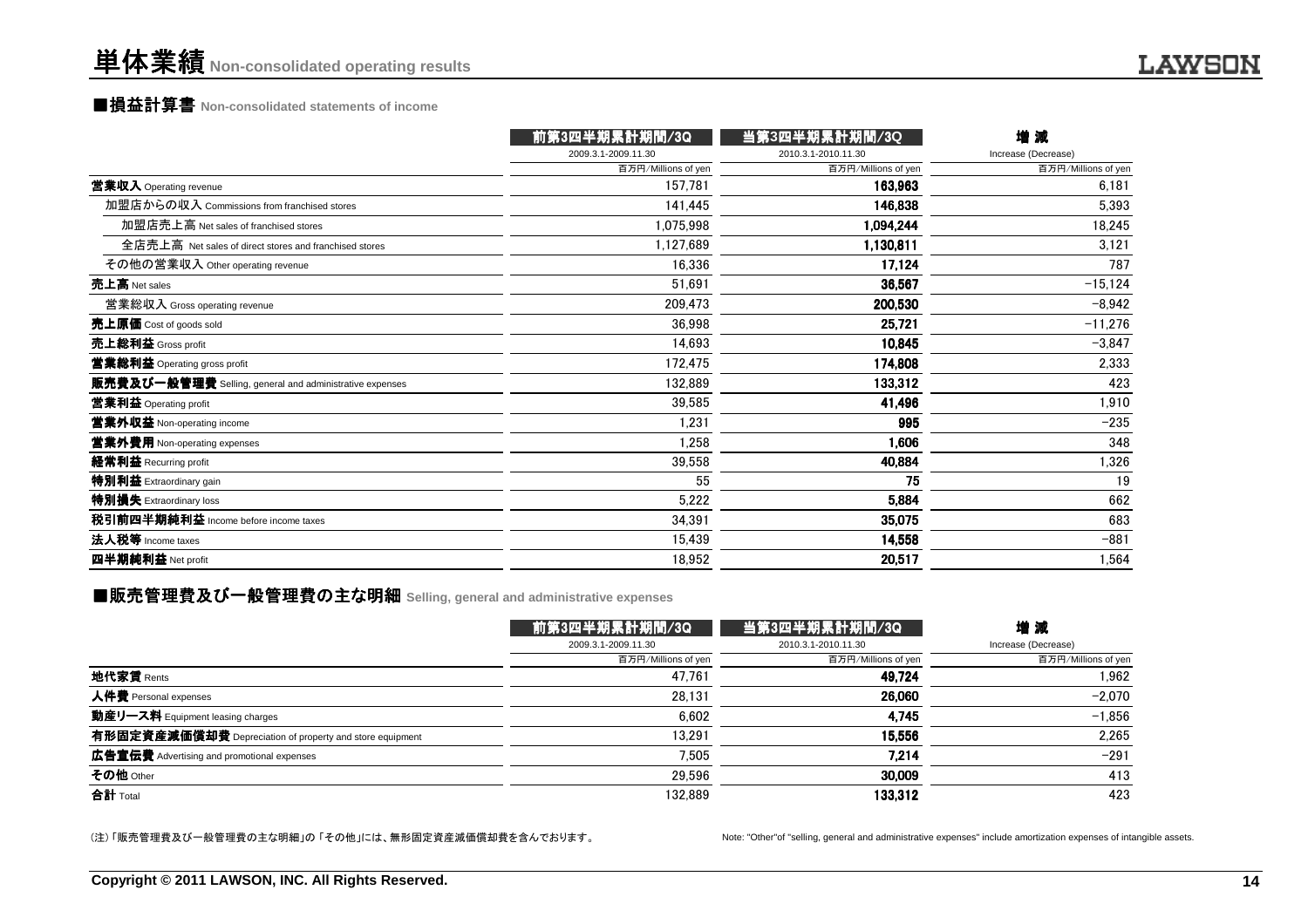### ■損益計算書 **Non-consolidated statements of income**

|                                                         | 前第3四半期累計期間/3Q       | 当第3四半期累計期間/3Q       | 増減                  |
|---------------------------------------------------------|---------------------|---------------------|---------------------|
|                                                         | 2009.3.1-2009.11.30 | 2010.3.1-2010.11.30 | Increase (Decrease) |
|                                                         | 百万円/Millions of yen | 百万円/Millions of yen | 百万円/Millions of yen |
| 営業収入 Operating revenue                                  | 157,781             | 163,963             | 6,181               |
| 加盟店からの収入 Commissions from franchised stores             | 141,445             | 146,838             | 5,393               |
| 加盟店売上高 Net sales of franchised stores                   | 1,075,998           | 1,094,244           | 18,245              |
| 全店売上高 Net sales of direct stores and franchised stores  | 1,127,689           | 1,130,811           | 3,121               |
| その他の営業収入 Other operating revenue                        | 16.336              | 17,124              | 787                 |
| 売上高 Net sales                                           | 51,691              | 36,567              | $-15,124$           |
| 営業総収入 Gross operating revenue                           | 209,473             | 200,530             | $-8,942$            |
| 売上原価 Cost of goods sold                                 | 36,998              | 25.721              | $-11,276$           |
| 売上総利益 Gross profit                                      | 14,693              | 10,845              | $-3,847$            |
| 営業総利益 Operating gross profit                            | 172,475             | 174,808             | 2,333               |
| 販売費及び一般管理費 Selling, general and administrative expenses | 132,889             | 133,312             | 423                 |
| 営業利益 Operating profit                                   | 39,585              | 41,496              | 1,910               |
| 営業外収益 Non-operating income                              | 1,231               | 995                 | $-235$              |
| 営業外費用 Non-operating expenses                            | 1,258               | 1,606               | 348                 |
| 経常利益 Recurring profit                                   | 39,558              | 40,884              | 1,326               |
| 特別利益 Extraordinary gain                                 | 55                  | 75                  | 19                  |
| 特別損失 Extraordinary loss                                 | 5,222               | 5,884               | 662                 |
| 税引前四半期純利益 Income before income taxes                    | 34,391              | 35,075              | 683                 |
| 法人税等 Income taxes                                       | 15,439              | 14,558              | $-881$              |
| 四半期純利益 Net profit                                       | 18,952              | 20,517              | 1,564               |
|                                                         |                     |                     |                     |

### ■販売管理費及び一般管理費の主な明細 Selling, general and administrative expenses<br>-

|                                                          | 前第3四半期累計期間/3Q       | 当第3四半期累計期間/3Q       | 増減                  |
|----------------------------------------------------------|---------------------|---------------------|---------------------|
|                                                          | 2009.3.1-2009.11.30 | 2010.3.1-2010.11.30 | Increase (Decrease) |
|                                                          | 百万円/Millions of yen | 百万円/Millions of yen | 百万円/Millions of yen |
| 地代家賃 Rents                                               | 47.761              | 49,724              | 1.962               |
| 人件費 Personal expenses                                    | 28.131              | 26.060              | $-2.070$            |
| 動産リース料 Equipment leasing charges                         | 6,602               | 4.745               | $-1.856$            |
| 有形固定資産減価償却費 Depreciation of property and store equipment | 13.291              | 15.556              | 2.265               |
| 広告宣伝費 Advertising and promotional expenses               | 7,505               | 7.214               | $-291$              |
| その他 Other                                                | 29.596              | 30,009              | 413                 |
| 合計 Total                                                 | 132.889             | 133,312             | 423                 |

(注) 「販売管理費及び一般管理費の主な明細」の 「その他」には、無形固定資産減価償却費を含んでおります。

Note: "Other"of "selling, general and administrative expenses" include amortization expenses of intangible assets.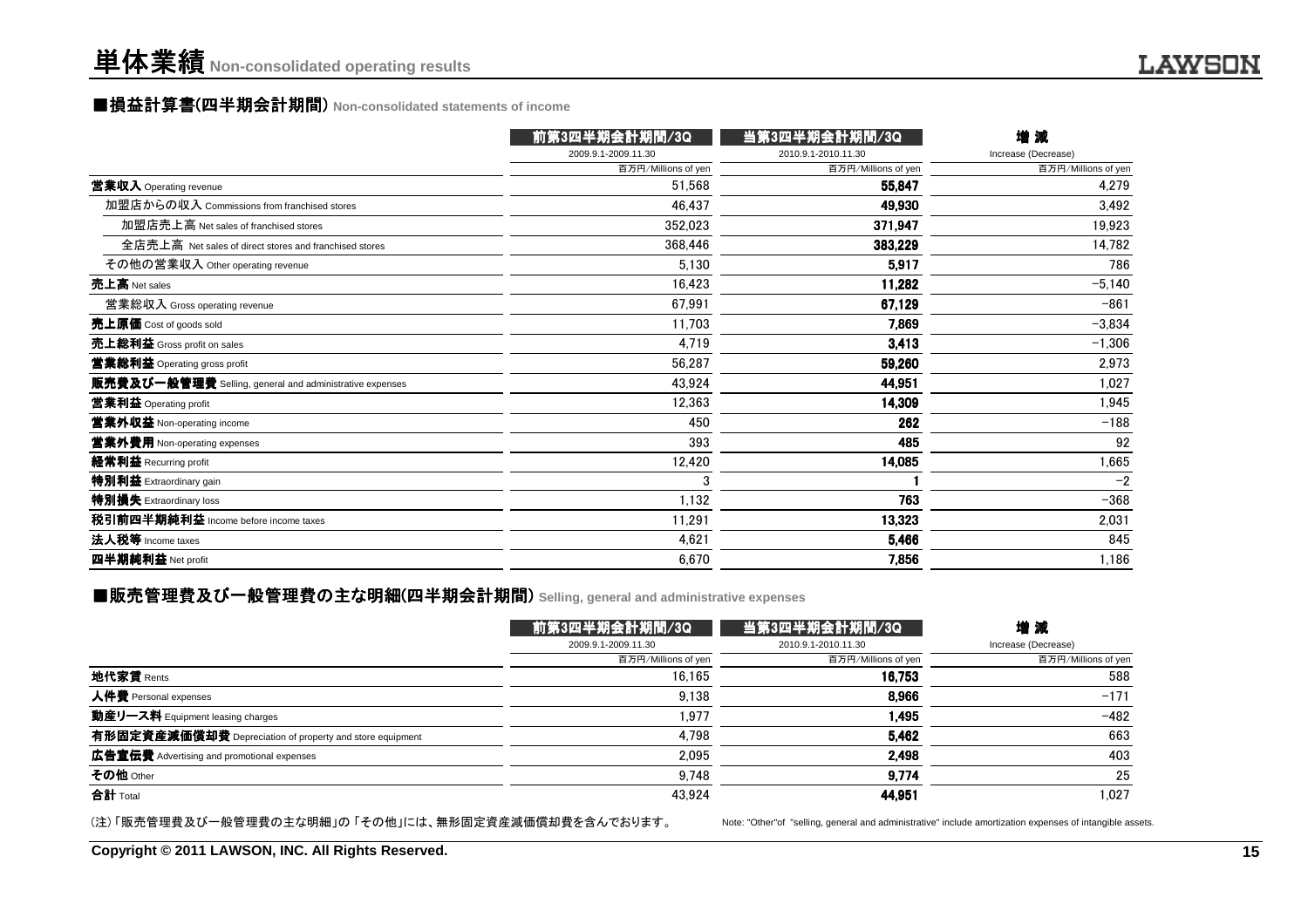### ■損益計算書(四半期会計期間) Non-consolidated statements of income<br>──────────────────────────────

|                                                         | 前第3四半期会計期間/3Q       | 当第3四半期会計期間/3Q       | 增減                  |
|---------------------------------------------------------|---------------------|---------------------|---------------------|
|                                                         | 2009.9.1-2009.11.30 | 2010.9.1-2010.11.30 | Increase (Decrease) |
|                                                         | 百万円/Millions of yen | 百万円/Millions of yen | 百万円/Millions of yen |
| 営業収入 Operating revenue                                  | 51,568              | 55,847              | 4,279               |
| 加盟店からの収入 Commissions from franchised stores             | 46,437              | 49,930              | 3,492               |
| 加盟店売上高 Net sales of franchised stores                   | 352,023             | 371,947             | 19,923              |
| 全店売上高 Net sales of direct stores and franchised stores  | 368,446             | 383.229             | 14,782              |
| その他の営業収入 Other operating revenue                        | 5,130               | 5.917               | 786                 |
| 売上高 Net sales                                           | 16,423              | 11,282              | $-5,140$            |
| 営業総収入 Gross operating revenue                           | 67,991              | 67,129              | $-861$              |
| 売上原価 Cost of goods sold                                 | 11,703              | 7.869               | $-3,834$            |
| 売上総利益 Gross profit on sales                             | 4,719               | 3,413               | $-1,306$            |
| 営業総利益 Operating gross profit                            | 56,287              | 59,260              | 2,973               |
| 販売費及び一般管理費 Selling, general and administrative expenses | 43,924              | 44,951              | 1,027               |
| 営業利益 Operating profit                                   | 12,363              | 14,309              | 1,945               |
| 営業外収益 Non-operating income                              | 450                 | 262                 | $-188$              |
| 営業外費用 Non-operating expenses                            | 393                 | 485                 | 92                  |
| 経常利益 Recurring profit                                   | 12,420              | 14,085              | 1,665               |
| 特別利益 Extraordinary gain                                 | 3                   |                     | $-2$                |
| 特別損失 Extraordinary loss                                 | 1,132               | 763                 | $-368$              |
| 税引前四半期純利益 Income before income taxes                    | 11,291              | 13,323              | 2,031               |
| 法人税等 Income taxes                                       | 4,621               | 5,466               | 845                 |
| 四半期純利益 Net profit                                       | 6,670               | 7,856               | 1,186               |
|                                                         |                     |                     |                     |

### ■販売管理費及び一般管理費の主な明細(四半期会計期間) Selling, general and administrative expenses<br>-

|                                                          | 前第3四半期会計期間/3Q       | 当第3四半期会計期間/3Q       | 増減                  |
|----------------------------------------------------------|---------------------|---------------------|---------------------|
|                                                          | 2009.9.1-2009.11.30 | 2010.9.1-2010.11.30 | Increase (Decrease) |
|                                                          | 百万円/Millions of yen | 百万円/Millions of yen | 百万円/Millions of yen |
| 地代家賃 Rents                                               | 16.165              | 16,753              | 588                 |
| 人件費 Personal expenses                                    | 9,138               | 8,966               | $-171$              |
| 動産リース料 Equipment leasing charges                         | 1.977               | 1.495               | $-482$              |
| 有形固定資産減価償却費 Depreciation of property and store equipment | 4.798               | 5,462               | 663                 |
| <b>広告宣伝費</b> Advertising and promotional expenses        | 2,095               | 2,498               | 403                 |
| その他 Other                                                | 9.748               | 9,774               | 25                  |
| 合計 Total                                                 | 43.924              | 44,951              | 1.027               |

(注) 「販売管理費及び一般管理費の主な明細」の 「その他」には、無形固定資産減価償却費を含んでおります。

Note: "Other"of "selling, general and administrative" include amortization expenses of intangible assets.

**Copyright © 2011 LAWSON, INC. All Rights Reserved.**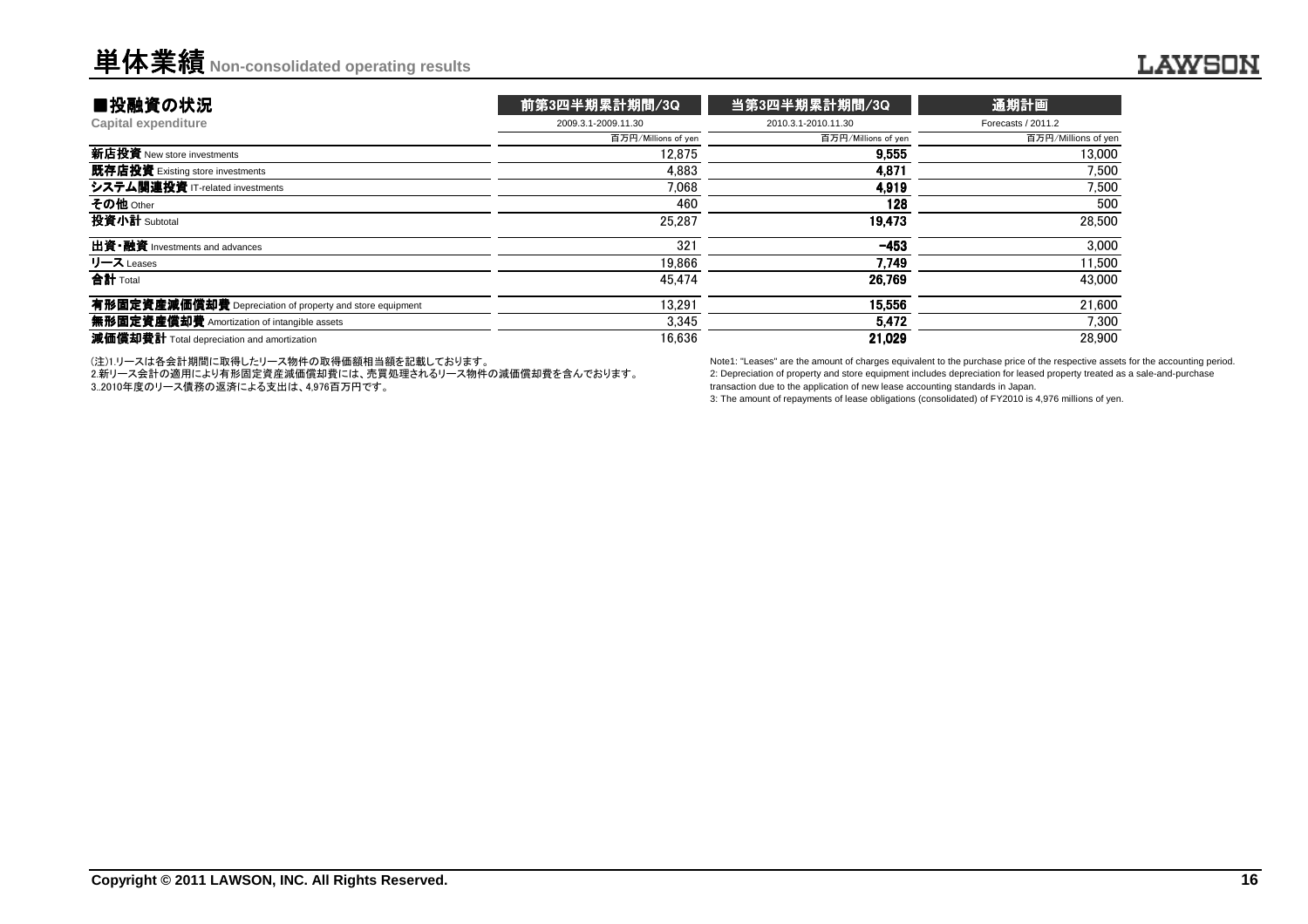| ■投融資の状況                                                  | 前第3四半期累計期間/3Q       | 当第3四半期累計期間/3Q       | 通期計画                |
|----------------------------------------------------------|---------------------|---------------------|---------------------|
| Capital expenditure                                      | 2009.3.1-2009.11.30 | 2010.3.1-2010.11.30 | Forecasts / 2011.2  |
|                                                          | 百万円/Millions of yen | 百万円/Millions of yen | 百万円/Millions of yen |
| 新店投資 New store investments                               | 12.875              | 9.555               | 13,000              |
| 既存店投資 Existing store investments                         | 4.883               | 4.871               | 7.500               |
| システム関連投資 IT-related investments                          | 7.068               | 4,919               | 7.500               |
| その他 Other                                                | 460                 | 128                 | 500                 |
| 投資小計 Subtotal                                            | 25.287              | 19.473              | 28,500              |
| <b>出資·融資</b> Investments and advances                    | 321                 | $-453$              | 3.000               |
| リース Leases                                               | 19.866              | 7.749               | 11.500              |
| 合計 Total                                                 | 45.474              | 26.769              | 43,000              |
| 有形固定資産減価償却費 Depreciation of property and store equipment | 13.291              | 15.556              | 21.600              |
| 無形固定資産償却費 Amortization of intangible assets              | 3.345               | 5.472               | 7.300               |
| 減価償却費計 Total depreciation and amortization               | 16.636              | 21,029              | 28,900              |
|                                                          |                     |                     |                     |

(注)1.リースは各会計期間に取得したリース物件の取得価額相当額を記載しております。

 2.新リース会計の適用により有形固定資産減価償却費には、売買処理されるリース物件の減価償却費を含んでおります。3..2010年度のリース債務の返済による支出は、4,976百万円です。

Note1: "Leases" are the amount of charges equivalent to the purchase price of the respective assets for the accounting period.2: Depreciation of property and store equipment includes depreciation for leased property treated as a sale-and-purchasetransaction due to the application of new lease accounting standards in Japan.

3: The amount of repayments of lease obligations (consolidated) of FY2010 is 4,976 millions of yen.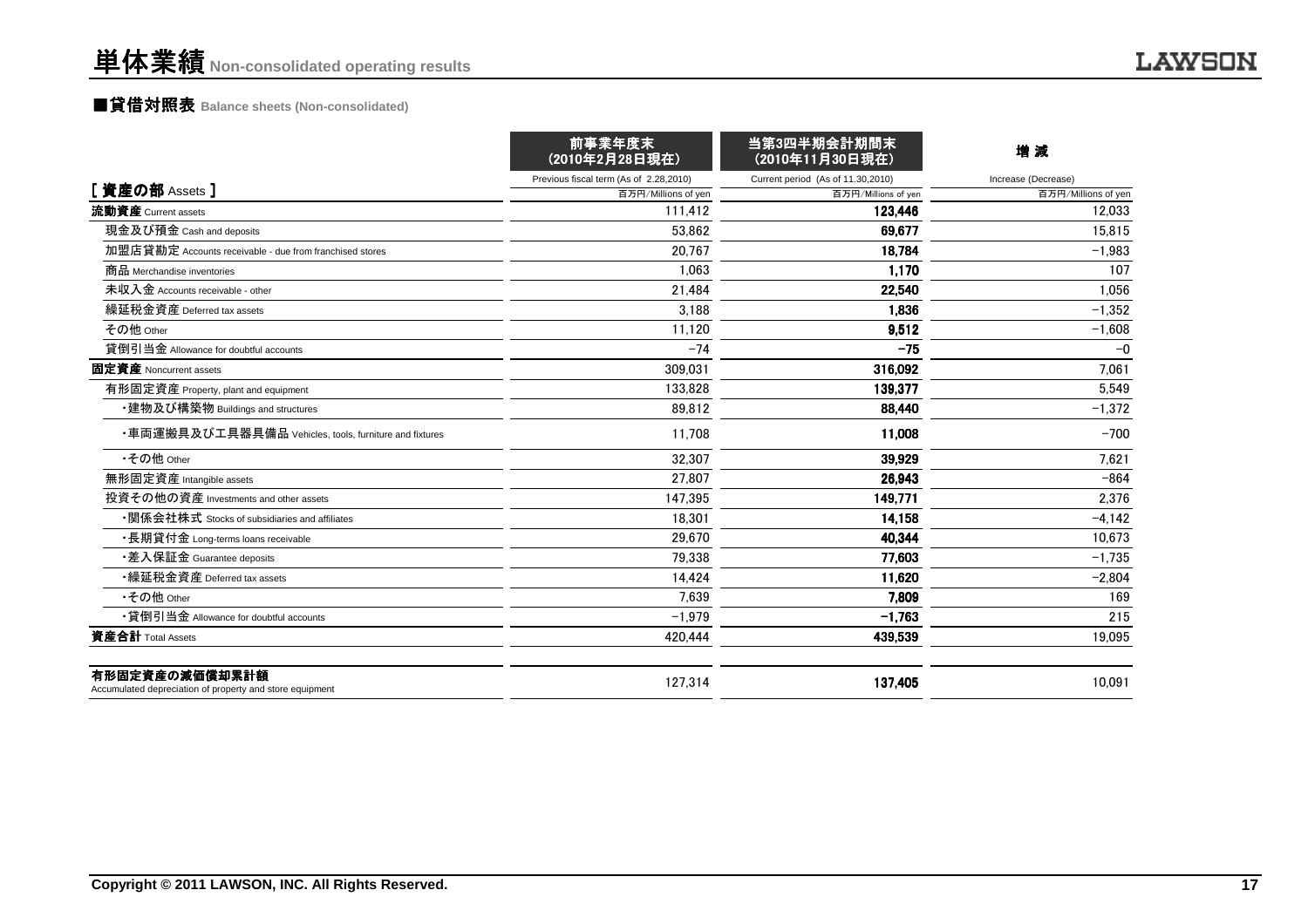### ■貸借対照表 **Balance sheets (Non-consolidated)**

|                                                                            | 前事業年度末<br>(2010年2月28日現在)               | 当第3四半期会計期間末<br>(2010年11月30日現在)    | 増減                  |
|----------------------------------------------------------------------------|----------------------------------------|-----------------------------------|---------------------|
|                                                                            | Previous fiscal term (As of 2.28,2010) | Current period (As of 11.30,2010) | Increase (Decrease) |
| [資産の部 Assets]                                                              | 百万円/Millions of yen                    | 百万円/Millions of yen               | 百万円/Millions of yen |
| 流動資産 Current assets                                                        | 111.412                                | 123.446                           | 12,033              |
| 現金及び預金 Cash and deposits                                                   | 53.862                                 | 69,677                            | 15,815              |
| 加盟店貸勘定 Accounts receivable - due from franchised stores                    | 20.767                                 | 18.784                            | $-1.983$            |
| 商品 Merchandise inventories                                                 | 1.063                                  | 1,170                             | 107                 |
| 未収入金 Accounts receivable - other                                           | 21,484                                 | 22,540                            | 1,056               |
| 繰延税金資産 Deferred tax assets                                                 | 3.188                                  | 1.836                             | $-1,352$            |
| その他 Other                                                                  | 11,120                                 | 9,512                             | $-1,608$            |
| 貸倒引当金 Allowance for doubtful accounts                                      | $-74$                                  | $-75$                             | $-0$                |
| <b>固定資産</b> Noncurrent assets                                              | 309.031                                | 316,092                           | 7.061               |
| 有形固定資産 Property, plant and equipment                                       | 133.828                                | 139,377                           | 5,549               |
| ・建物及び構築物 Buildings and structures                                          | 89.812                                 | 88,440                            | $-1,372$            |
| ・車両運搬具及び工具器具備品 Vehicles, tools, furniture and fixtures                     | 11.708                                 | 11,008                            | $-700$              |
| •その他 Other                                                                 | 32.307                                 | 39.929                            | 7.621               |
| 無形固定資産 Intangible assets                                                   | 27.807                                 | 26.943                            | $-864$              |
| 投資その他の資産 Investments and other assets                                      | 147.395                                | 149.771                           | 2,376               |
| •関係会社株式 Stocks of subsidiaries and affiliates                              | 18,301                                 | 14,158                            | $-4,142$            |
| ・長期貸付金 Long-terms loans receivable                                         | 29.670                                 | 40,344                            | 10,673              |
| •差入保証金 Guarantee deposits                                                  | 79.338                                 | 77,603                            | $-1.735$            |
| •繰延税金資産 Deferred tax assets                                                | 14,424                                 | 11,620                            | $-2,804$            |
| •その他 Other                                                                 | 7.639                                  | 7.809                             | 169                 |
| •貸倒引当金 Allowance for doubtful accounts                                     | $-1.979$                               | $-1,763$                          | 215                 |
| 資産合計 Total Assets                                                          | 420,444                                | 439,539                           | 19,095              |
| 有形固定資産の減価償却累計額<br>Accumulated depreciation of property and store equipment | 127,314                                | 137,405                           | 10,091              |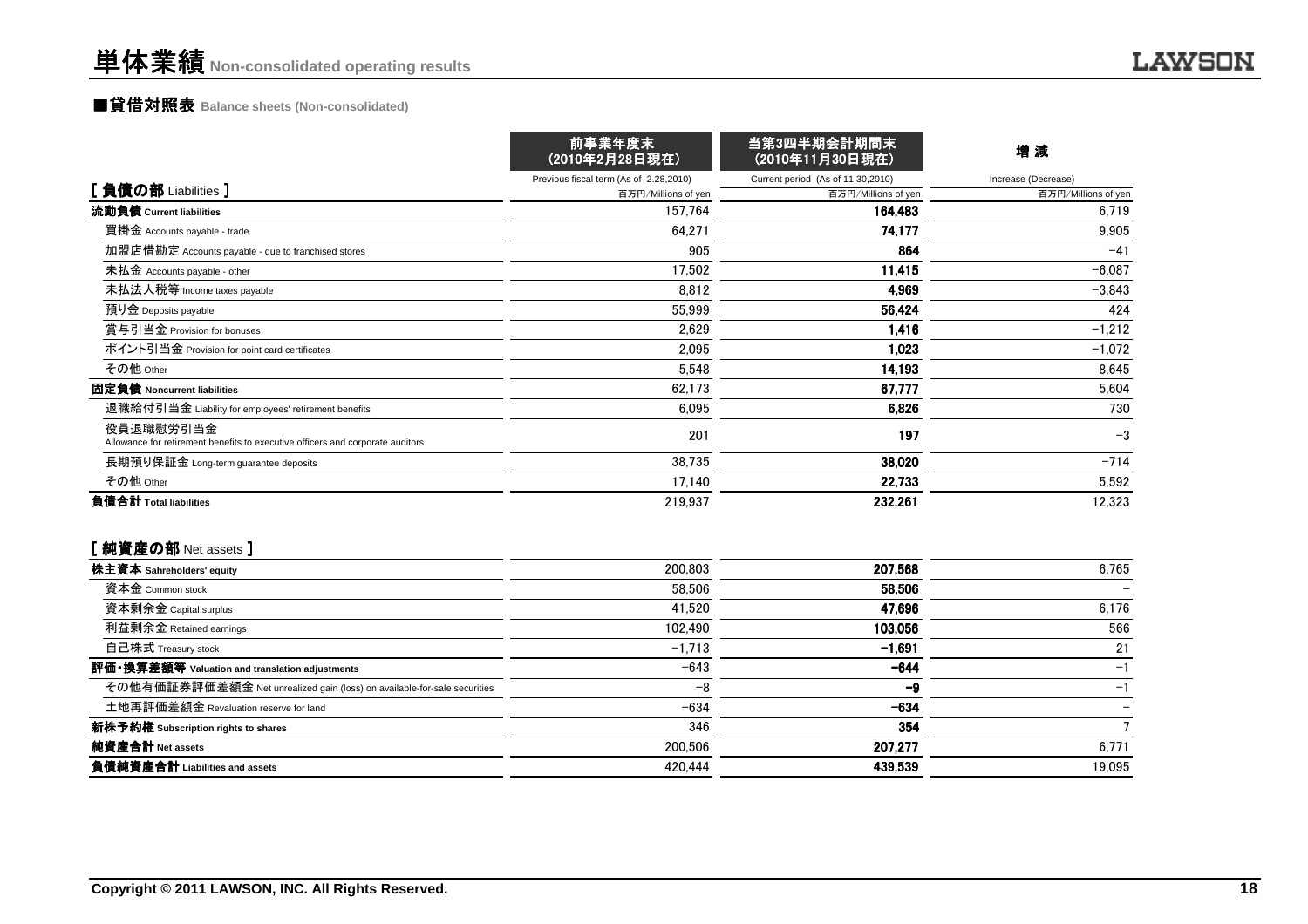### ■貸借対照表 **Balance sheets (Non-consolidated)**

|                                                                                             | 前事業年度末<br>(2010年2月28日現在)               | 当第3四半期会計期間末<br>(2010年11月30日現在)    | 増減                  |
|---------------------------------------------------------------------------------------------|----------------------------------------|-----------------------------------|---------------------|
|                                                                                             | Previous fiscal term (As of 2.28,2010) | Current period (As of 11.30,2010) | Increase (Decrease) |
| [負債の部 Liabilities ]                                                                         | 百万円/Millions of yen                    | 百万円/Millions of yen               | 百万円/Millions of yen |
| 流動負債 Current liabilities                                                                    | 157,764                                | 164,483                           | 6,719               |
| 買掛金 Accounts payable - trade                                                                | 64,271                                 | 74,177                            | 9,905               |
| 加盟店借勘定 Accounts payable - due to franchised stores                                          | 905                                    | 864                               | $-41$               |
| 未払金 Accounts payable - other                                                                | 17,502                                 | 11,415                            | $-6,087$            |
| 未払法人税等 Income taxes payable                                                                 | 8,812                                  | 4,969                             | $-3,843$            |
| 預り金 Deposits payable                                                                        | 55,999                                 | 56,424                            | 424                 |
| 賞与引当金 Provision for bonuses                                                                 | 2,629                                  | 1,416                             | $-1,212$            |
| ポイント引当金 Provision for point card certificates                                               | 2,095                                  | 1,023                             | $-1,072$            |
| その他 Other                                                                                   | 5,548                                  | 14,193                            | 8,645               |
| 固定負債 Noncurrent liabilities                                                                 | 62,173                                 | 67,777                            | 5,604               |
| 退職給付引当金 Liability for employees' retirement benefits                                        | 6,095                                  | 6,826                             | 730                 |
| 役員退職慰労引当金<br>Allowance for retirement benefits to executive officers and corporate auditors | 201                                    | 197                               | $-3$                |
| 長期預り保証金 Long-term guarantee deposits                                                        | 38,735                                 | 38,020                            | $-714$              |
| その他 Other                                                                                   | 17,140                                 | 22,733                            | 5,592               |
| 負債合計 Total liabilities                                                                      | 219,937                                | 232,261                           | 12,323              |

#### [純資産の部 Net assets ]

| 株主資本 Sahreholders' equity                                                | 200,803  | 207.568  | 6.765  |
|--------------------------------------------------------------------------|----------|----------|--------|
| 資本金 Common stock                                                         | 58,506   | 58,506   |        |
| 資本剰余金 Capital surplus                                                    | 41.520   | 47.696   | 6,176  |
| 利益剰余金 Retained earnings                                                  | 102.490  | 103,056  | 566    |
| 自己株式 Treasury stock                                                      | $-1,713$ | $-1,691$ | 21     |
| 評価・換算差額等 Valuation and translation adjustments                           | $-643$   | $-644$   | $-1$   |
| その他有価証券評価差額金 Net unrealized gain (loss) on available-for-sale securities | $-8$     | -9       | $-1$   |
| 土地再評価差額金 Revaluation reserve for land                                    | $-634$   | $-634$   |        |
| 新株予約権 Subscription rights to shares                                      | 346      | 354      |        |
| 純資産合計 Net assets                                                         | 200,506  | 207.277  | 6,771  |
| 負債純資産合計 Liabilities and assets                                           | 420,444  | 439,539  | 19.095 |